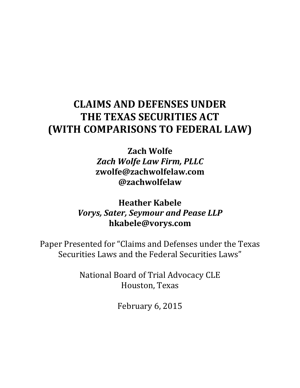# **CLAIMS AND DEFENSES UNDER THE TEXAS SECURITIES ACT (WITH COMPARISONS TO FEDERAL LAW)**

**Zach Wolfe** *Zach Wolfe Law Firm, PLLC* **zwolfe@zachwolfelaw.com @zachwolfelaw**

# **Heather Kabele Vorys, Sater, Seymour and Pease LLP hkabele@vorys.com**

Paper Presented for "Claims and Defenses under the Texas Securities Laws and the Federal Securities Laws"

> National Board of Trial Advocacy CLE Houston, Texas

> > February 6, 2015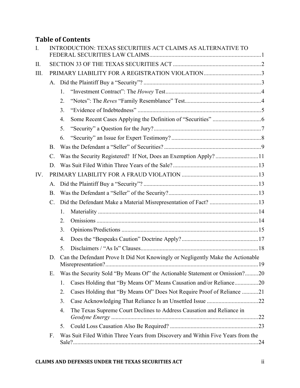# **Table of Contents**

| $\mathbf{I}$ . |                 | INTRODUCTION: TEXAS SECURITIES ACT CLAIMS AS ALTERNATIVE TO                     |     |  |  |  |
|----------------|-----------------|---------------------------------------------------------------------------------|-----|--|--|--|
| II.            |                 |                                                                                 |     |  |  |  |
| III.           |                 |                                                                                 |     |  |  |  |
|                |                 |                                                                                 |     |  |  |  |
|                |                 | $1_{\cdot}$                                                                     |     |  |  |  |
|                |                 | 2.                                                                              |     |  |  |  |
|                |                 | 3.                                                                              |     |  |  |  |
|                |                 | 4.                                                                              |     |  |  |  |
|                |                 | 5.                                                                              |     |  |  |  |
|                |                 | 6.                                                                              |     |  |  |  |
|                | <b>B</b> .      |                                                                                 |     |  |  |  |
|                | $\mathcal{C}$ . | Was the Security Registered? If Not, Does an Exemption Apply?11                 |     |  |  |  |
|                | D.              |                                                                                 |     |  |  |  |
| IV.            |                 |                                                                                 |     |  |  |  |
|                | A.              |                                                                                 |     |  |  |  |
|                | <b>B</b> .      |                                                                                 |     |  |  |  |
|                | $\mathcal{C}$ . |                                                                                 |     |  |  |  |
|                |                 | 1.                                                                              |     |  |  |  |
|                |                 | 2.                                                                              |     |  |  |  |
|                |                 | 3.                                                                              |     |  |  |  |
|                |                 | 4.                                                                              |     |  |  |  |
|                |                 | 5.                                                                              |     |  |  |  |
|                | D.              | Can the Defendant Prove It Did Not Knowingly or Negligently Make the Actionable |     |  |  |  |
|                | Ε.              | Was the Security Sold "By Means Of" the Actionable Statement or Omission?20     |     |  |  |  |
|                |                 | Cases Holding that "By Means Of" Means Causation and/or Reliance20<br>1.        |     |  |  |  |
|                |                 | Cases Holding that "By Means Of" Does Not Require Proof of Reliance 21<br>2.    |     |  |  |  |
|                |                 | 3.                                                                              |     |  |  |  |
|                |                 | The Texas Supreme Court Declines to Address Causation and Reliance in<br>4.     |     |  |  |  |
|                |                 | 5.                                                                              |     |  |  |  |
|                | F.              | Was Suit Filed Within Three Years from Discovery and Within Five Years from the | .24 |  |  |  |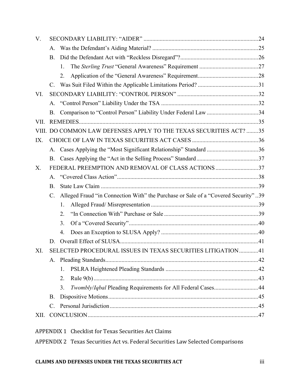| $V_{\cdot}$ |                                                                                                      |                |                                                              |  |  |  |  |
|-------------|------------------------------------------------------------------------------------------------------|----------------|--------------------------------------------------------------|--|--|--|--|
|             | A.                                                                                                   |                |                                                              |  |  |  |  |
|             | <b>B.</b>                                                                                            |                |                                                              |  |  |  |  |
|             |                                                                                                      | $\mathbf{1}$ . |                                                              |  |  |  |  |
|             |                                                                                                      | 2.             |                                                              |  |  |  |  |
|             | $C_{\cdot}$                                                                                          |                |                                                              |  |  |  |  |
| VI.         |                                                                                                      |                |                                                              |  |  |  |  |
|             | $A_{-}$                                                                                              |                |                                                              |  |  |  |  |
|             | B.                                                                                                   |                |                                                              |  |  |  |  |
| VII.        |                                                                                                      |                |                                                              |  |  |  |  |
| VIII.       |                                                                                                      |                | DO COMMON LAW DEFENSES APPLY TO THE TEXAS SECURITIES ACT? 35 |  |  |  |  |
| IX.         |                                                                                                      |                |                                                              |  |  |  |  |
|             |                                                                                                      |                |                                                              |  |  |  |  |
|             | <b>B.</b>                                                                                            |                |                                                              |  |  |  |  |
| X.          | FEDERAL PREEMPTION AND REMOVAL OF CLASS ACTIONS 37                                                   |                |                                                              |  |  |  |  |
|             | A.                                                                                                   |                |                                                              |  |  |  |  |
|             | <b>B</b> .                                                                                           |                |                                                              |  |  |  |  |
|             | Alleged Fraud "in Connection With" the Purchase or Sale of a "Covered Security"39<br>$\mathcal{C}$ . |                |                                                              |  |  |  |  |
|             |                                                                                                      | $\mathbf{1}$   |                                                              |  |  |  |  |
|             |                                                                                                      | 2.             |                                                              |  |  |  |  |
|             |                                                                                                      | 3.             |                                                              |  |  |  |  |
|             |                                                                                                      | 4.             |                                                              |  |  |  |  |
|             | D.                                                                                                   |                |                                                              |  |  |  |  |
| XI.         | SELECTED PROCEDURAL ISSUES IN TEXAS SECURITIES LITIGATION41                                          |                |                                                              |  |  |  |  |
|             |                                                                                                      |                |                                                              |  |  |  |  |
|             |                                                                                                      | 1.             |                                                              |  |  |  |  |
|             |                                                                                                      | 2.             |                                                              |  |  |  |  |
|             |                                                                                                      | 3.             | Twombly/Iqbal Pleading Requirements for All Federal Cases44  |  |  |  |  |
|             | <b>B.</b>                                                                                            |                |                                                              |  |  |  |  |
|             | $C_{-}$                                                                                              |                |                                                              |  |  |  |  |
| XII.        |                                                                                                      |                |                                                              |  |  |  |  |
|             |                                                                                                      |                | APPENDIX 1 Checklist for Texas Securities Act Claims         |  |  |  |  |

APPENDIX 2 Texas Securities Act vs. Federal Securities Law Selected Comparisons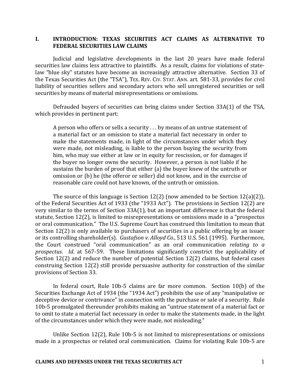# **I. INTRODUCTION: TEXAS SECURITIES ACT CLAIMS AS ALTERNATIVE TO FEDERAL SECURITIES LAW CLAIMS**

Judicial and legislative developments in the last 20 years have made federal securities law claims less attractive to plaintiffs. As a result, claims for violations of statelaw "blue sky" statutes have become an increasingly attractive alternative. Section 33 of the Texas Securities Act (the "TSA"), TEX. REV. CIV. STAT. ANN. art. 581-33, provides for civil liability of securities sellers and secondary actors who sell unregistered securities or sell securities by means of material misrepresentations or omissions.

Defrauded buyers of securities can bring claims under Section  $33A(1)$  of the TSA, which provides in pertinent part:

A person who offers or sells a security  $\dots$  by means of an untrue statement of a material fact or an omission to state a material fact necessary in order to make the statements made, in light of the circumstances under which they were made, not misleading, is liable to the person buying the security from him, who may sue either at law or in equity for rescission, or for damages if the buyer no longer owns the security. However, a person is not liable if he sustains the burden of proof that either (a) the buyer knew of the untruth or omission or (b) he (the offeror or seller) did not know, and in the exercise of reasonable care could not have known, of the untruth or omission.

The source of this language is Section 12(2) (now amended to be Section 12(a)(2)), of the Federal Securities Act of 1933 (the "1933 Act"). The provisions in Section 12(2) are very similar to the terms of Section  $33A(1)$ , but an important difference is that the federal statute, Section 12(2), is limited to misrepresentations or omissions made in a "prospectus" or oral communication." The U.S. Supreme Court has construed this limitation to mean that Section  $12(2)$  is only available to purchasers of securities in a public offering by an issuer or its controlling shareholder(s). *Gustafson v. Alloyd Co.*, 513 U.S. 561 (1995). Furthermore, the Court construed "oral communication" as an oral communication *relating to a prospectus. Id.* at 567-59. These limitations significantly constrict the applicability of Section  $12(2)$  and reduce the number of potential Section  $12(2)$  claims, but federal cases construing Section  $12(2)$  still provide persuasive authority for construction of the similar provisions of Section 33.

In federal court, Rule  $10b-5$  claims are far more common. Section  $10(b)$  of the Securities Exchange Act of 1934 (the "1934 Act") prohibits the use of any "manipulative or deceptive device or contrivance" in connection with the purchase or sale of a security. Rule 10b-5 promulgated thereunder prohibits making an "untrue statement of a material fact or to omit to state a material fact necessary in order to make the statements made, in the light of the circumstances under which they were made, not misleading."

Unlike Section  $12(2)$ , Rule  $10b-5$  is not limited to misrepresentations or omissions made in a prospectus or related oral communication. Claims for violating Rule 10b-5 are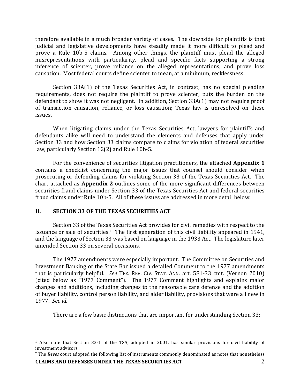therefore available in a much broader variety of cases. The downside for plaintiffs is that judicial and legislative developments have steadily made it more difficult to plead and prove a Rule 10b-5 claims. Among other things, the plaintiff must plead the alleged misrepresentations with particularity, plead and specific facts supporting a strong inference of scienter, prove reliance on the alleged representations, and prove loss causation. Most federal courts define scienter to mean, at a minimum, recklessness.

Section  $33A(1)$  of the Texas Securities Act, in contrast, has no special pleading requirements, does not require the plaintiff to prove scienter, puts the burden on the defendant to show it was not negligent. In addition, Section  $33A(1)$  may not require proof of transaction causation, reliance, or loss causation; Texas law is unresolved on these issues. 

When litigating claims under the Texas Securities Act, lawyers for plaintiffs and defendants alike will need to understand the elements and defenses that apply under Section 33 and how Section 33 claims compare to claims for violation of federal securities law, particularly Section 12(2) and Rule 10b-5.

For the convenience of securities litigation practitioners, the attached **Appendix 1** contains a checklist concerning the major issues that counsel should consider when prosecuting or defending claims for violating Section 33 of the Texas Securities Act. The chart attached as **Appendix 2** outlines some of the more significant differences between securities fraud claims under Section 33 of the Texas Securities Act and federal securities fraud claims under Rule 10b-5. All of these issues are addressed in more detail below.

#### **II. SECTION 33 OF THE TEXAS SECURITIES ACT**

1

Section 33 of the Texas Securities Act provides for civil remedies with respect to the issuance or sale of securities.<sup>1</sup> The first generation of this civil liability appeared in 1941, and the language of Section 33 was based on language in the 1933 Act. The legislature later amended Section 33 on several occasions.

The 1977 amendments were especially important. The Committee on Securities and Investment Banking of the State Bar issued a detailed Comment to the 1977 amendments that is particularly helpful. *See* TEX. REV. CIV. STAT. ANN. art. 581-33 cmt. (Vernon 2010) (cited below as "1977 Comment"). The 1977 Comment highlights and explains major changes and additions, including changes to the reasonable care defense and the addition of buyer liability, control person liability, and aider liability, provisions that were all new in 1977. *See id.*

There are a few basic distinctions that are important for understanding Section 33:

 $1$  Also note that Section 33-1 of the TSA, adopted in 2001, has similar provisions for civil liability of investment advisors.

**CLAIMS AND DEFENSES UNDER THE TEXAS SECURITIES ACT** <sup>2</sup> The *Reves* court adopted the following list of instruments commonly denominated as notes that nonetheless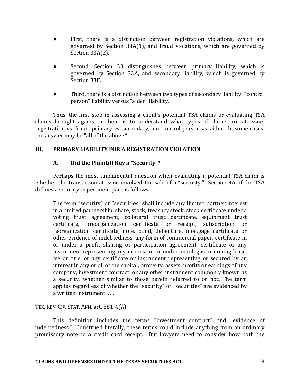- First, there is a distinction between registration violations, which are governed by Section  $33A(1)$ , and fraud violations, which are governed by Section 33A(2).
- Second, Section 33 distinguishes between primary liability, which is governed by Section 33A, and secondary liability, which is governed by Section 33F.
- Third, there is a distinction between two types of secondary liability: "control person" liability versus "aider" liability.

Thus, the first step in assessing a client's potential TSA claims or evaluating TSA claims brought against a client is to understand what types of claims are at issue: registration vs. fraud, primary vs. secondary, and control person vs. aider. In some cases, the answer may be "all of the above."

# **III. PRIMARY LIABILITY FOR A REGISTRATION VIOLATION**

# **A. Did the Plaintiff Buy a "Security"?**

Perhaps the most fundamental question when evaluating a potential TSA claim is whether the transaction at issue involved the sale of a "security." Section 4A of the TSA defines a security in pertinent part as follows:

The term "security" or "securities" shall include any limited partner interest in a limited partnership, share, stock, treasury stock, stock certificate under a voting trust agreement, collateral trust certificate, equipment trust certificate, preorganization certificate or receipt, subscription or reorganization certificate, note, bond, debenture, mortgage certificate or other evidence of indebtedness, any form of commercial paper, certificate in or under a profit sharing or participation agreement, certificate or any instrument representing any interest in or under an oil, gas or mining lease, fee or title, or any certificate or instrument representing or secured by an interest in any or all of the capital, property, assets, profits or earnings of any company, investment contract, or any other instrument commonly known as a security, whether similar to those herein referred to or not. The term applies regardless of whether the "security" or "securities" are evidenced by a written instrument....

TEX. REV. CIV. STAT. ANN. art.  $581-4(A)$ .

This definition includes the terms "investment contract" and "evidence of indebtedness." Construed literally, these terms could include anything from an ordinary promissory note to a credit card receipt. But lawyers need to consider how both the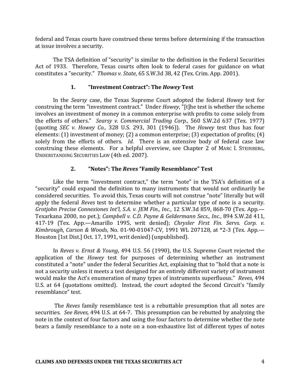federal and Texas courts have construed these terms before determining if the transaction at issue involves a security.

The TSA definition of "security" is similar to the definition in the Federal Securities Act of 1933. Therefore, Texas courts often look to federal cases for guidance on what constitutes a "security." Thomas v. State, 65 S.W.3d 38, 42 (Tex. Crim. App. 2001).

### **1. "Investment Contract": The** *Howey* **Test**

In the *Searsy* case, the Texas Supreme Court adopted the federal *Howey* test for construing the term "investment contract." Under *Howey*, "[t]he test is whether the scheme involves an investment of money in a common enterprise with profits to come solely from the efforts of others." *Searsy v. Commercial Trading Corp.*, 560 S.W.2d 637 (Tex. 1977) (quoting *SEC* v. Howey Co., 328 U.S. 293, 301 (1946)). The *Howey* test thus has four elements:  $(1)$  investment of money;  $(2)$  a common enterprise;  $(3)$  expectation of profits;  $(4)$ solely from the efforts of others. *Id.* There is an extensive body of federal case law construing these elements. For a helpful overview, see Chapter 2 of MARC I. STEINBERG, UNDERSTANDING SECURITIES LAW (4th ed. 2007).

# **2. "Notes": The Reves "Family Resemblance" Test**

Like the term "investment contract," the term "note" in the TSA's definition of a "security" could expand the definition to many instruments that would not ordinarily be considered securities. To avoid this, Texas courts will not construe "note" literally but will apply the federal *Reves* test to determine whether a particular type of note is a security. *Grotjohn Precise Connexiones Int'l, S.A. v. JEM Fin., Inc.,* 12 S.W.3d 859, 868-70 (Tex. App.— Texarkana 2000, no pet.); *Campbell v. C.D. Payne & Geldermann Secs., Inc.*, 894 S.W.2d 411, 417-19 (Tex. App.—Amarillo 1995, writ denied); *Chrysler First Fin. Servs. Corp. v. Kimbrough, Carson & Woods, No.* 01-90-01047-CV, 1991 WL 207128, at \*2-3 (Tex. App.— Houston [1st Dist.] Oct. 17, 1991, writ denied) (unpublished).

In *Reves v. Ernst & Young*, 494 U.S. 56 (1990), the U.S. Supreme Court rejected the application of the *Howey* test for purposes of determining whether an instrument constituted a "note" under the federal Securities Act, explaining that to "hold that a note is not a security unless it meets a test designed for an entirely different variety of instrument would make the Act's enumeration of many types of instruments superfluous." Reves, 494 U.S. at 64 (quotations omitted). Instead, the court adopted the Second Circuit's "family resemblance" test.

The *Reves* family resemblance test is a rebuttable presumption that all notes are securities. See Reves, 494 U.S. at 64-7. This presumption can be rebutted by analyzing the note in the context of four factors and using the four factors to determine whether the note bears a family resemblance to a note on a non-exhaustive list of different types of notes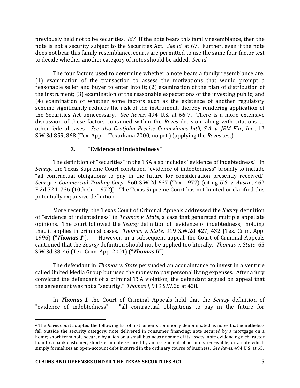previously held not to be securities. *Id*.<sup>2</sup> If the note bears this family resemblance, then the note is not a security subject to the Securities Act. See id. at 67. Further, even if the note does not bear this family resemblance, courts are permitted to use the same four-factor test to decide whether another category of notes should be added. See id.

The four factors used to determine whether a note bears a family resemblance are:  $(1)$  examination of the transaction to assess the motivations that would prompt a reasonable seller and buyer to enter into it;  $(2)$  examination of the plan of distribution of the instrument;  $(3)$  examination of the reasonable expectations of the investing public; and (4) examination of whether some factors such as the existence of another regulatory scheme significantly reduces the risk of the instrument, thereby rendering application of the Securities Act unnecessary. *See Reves*, 494 U.S. at 66-7. There is a more extensive discussion of these factors contained within the *Reves* decision, along with citations to other federal cases. See also Grotjohn Precise Connexiones Int'l, S.A. v. JEM Fin., Inc., 12 S.W.3d 859, 868 (Tex. App.—Texarkana 2000, no pet.) (applying the *Reves* test).

# **3. "Evidence of Indebtedness"**

The definition of "securities" in the TSA also includes "evidence of indebtedness." In *Searsy*, the Texas Supreme Court construed "evidence of indebtedness" broadly to include "all contractual obligations to pay in the future for consideration presently received." *Searsy v. Commercial Trading Corp.*, 560 S.W.2d 637 (Tex. 1977) (citing *U.S. v. Austin*, 462 F.2d 724, 736 (10th Cir. 1972)). The Texas Supreme Court has not limited or clarified this potentially expansive definition.

More recently, the Texas Court of Criminal Appeals addressed the *Searsy* definition of "evidence of indebtedness" in *Thomas v. State*, a case that generated multiple appellate opinions. The court followed the *Searsy* definition of "evidence of indebtedness," holding that it applies in criminal cases. *Thomas v. State*, 919 S.W.2d 427, 432 (Tex. Crim. App.) 1996) ("**Thomas I**"). However, in a subsequent appeal, the Court of Criminal Appeals cautioned that the *Searsy* definition should not be applied too literally. Thomas v. State, 65 S.W.3d 38, 46 (Tex. Crim. App. 2001) ("**Thomas II**").

The defendant in *Thomas v. State* persuaded an acquaintance to invest in a venture called United Media Group but used the money to pay personal living expenses. After a jury convicted the defendant of a criminal TSA violation, the defendant argued on appeal that the agreement was not a "security." *Thomas I*, 919 S.W.2d at 428.

In **Thomas I**, the Court of Criminal Appeals held that the *Searsy* definition of "evidence of indebtedness"  $-$  "all contractual obligations to pay in the future for

<sup>&</sup>lt;sup>2</sup> The *Reves* court adopted the following list of instruments commonly denominated as notes that nonetheless fall outside the security category: note delivered in consumer financing; note secured by a mortgage on a home; short-term note secured by a lien on a small business or some of its assets; note evidencing a character loan to a bank customer; short-term note secured by an assignment of accounts receivable; or a note which simply formalizes an open-account debt incurred in the ordinary course of business. See Reves, 494 U.S. at 65.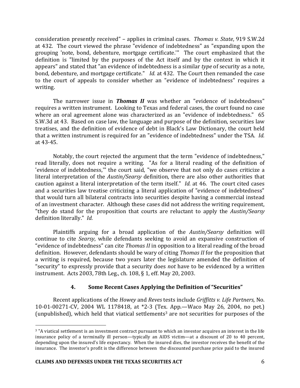consideration presently received" - applies in criminal cases. Thomas v. State, 919 S.W.2d at 432. The court viewed the phrase "evidence of indebtedness" as "expanding upon the grouping 'note, bond, debenture, mortgage certificate." The court emphasized that the definition is "limited by the purposes of the Act itself and by the context in which it appears" and stated that "an evidence of indebtedness is a similar *type* of security as a note, bond, debenture, and mortgage certificate." *Id.* at 432. The Court then remanded the case to the court of appeals to consider whether an "evidence of indebtedness" requires a writing. 

The narrower issue in **Thomas II** was whether an "evidence of indebtedness" requires a written instrument. Looking to Texas and federal cases, the court found no case where an oral agreement alone was characterized as an "evidence of indebtedness." 65 S.W.3d at 43. Based on case law, the language and purpose of the definition, securities law treatises, and the definition of evidence of debt in Black's Law Dictionary, the court held that a written instrument is required for an "evidence of indebtedness" under the TSA. *Id.* at 43-45.

Notably, the court rejected the argument that the term "evidence of indebtedness," read literally, does not require a writing. "As for a literal reading of the definition of 'evidence of indebtedness," the court said, "we observe that not only do cases criticize a literal interpretation of the *Austin/Searsy* definition, there are also other authorities that caution against a literal interpretation of the term itself." *Id.* at 46. The court cited cases and a securities law treatise criticizing a literal application of "evidence of indebtedness" that would turn all bilateral contracts into securities despite having a commercial instead of an investment character. Although these cases did not address the writing requirement, "they do stand for the proposition that courts are reluctant to apply the *Austin/Searsy* definition literally." *Id.* 

Plaintiffs arguing for a broad application of the *Austin/Searsy* definition will continue to cite *Searsy*, while defendants seeking to avoid an expansive construction of "evidence of indebtedness" can cite *Thomas II* in opposition to a literal reading of the broad definition. However, defendants should be wary of citing *Thomas II* for the proposition that a writing is required, because two years later the legislature amended the definition of "security" to expressly provide that a security does *not* have to be evidenced by a written instrument. Acts 2003, 78th Leg., ch. 108, § 1, eff. May 20, 2003.

# **4. Some Recent Cases Applying the Definition of "Securities"**

Recent applications of the *Howey* and *Reves* tests include *Griffitts v. Life Partners*, No. 10-01-00271-CV, 2004 WL 1178418, at \*2-3 (Tex. App.—Waco May 26, 2004, no pet.) (unpublished), which held that viatical settlements<sup>3</sup> are not securities for purposes of the

<sup>&</sup>lt;sup>3</sup> "A viatical settlement is an investment contract pursuant to which an investor acquires an interest in the life insurance policy of a terminally ill person—typically an AIDS victim—at a discount of 20 to 40 percent, depending upon the insured's life expectancy. When the insured dies, the investor receives the benefit of the insurance. The investor's profit is the difference between the discounted purchase price paid to the insured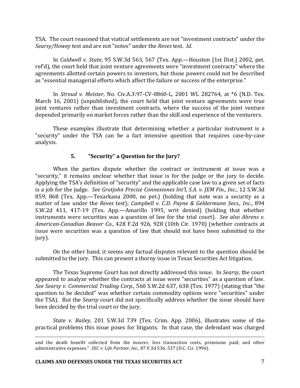TSA. The court reasoned that viatical settlements are not "investment contracts" under the Searsy/Howey test and are not "notes" under the *Reves* test. *Id.* 

In *Caldwell v. State*, 95 S.W.3d 563, 567 (Tex. App.—Houston [1st Dist.] 2002, pet. ref'd), the court held that joint venture agreements were "investment contracts" where the agreements allotted certain powers to investors, but those powers could not be described as "essential managerial efforts which affect the failure or success of the enterprise."

In *Stroud v. Meister*, No. Civ.A.3:97-CV-0860-L, 2001 WL 282764, at  $*6$  (N.D. Tex. March 16, 2001) (unpublished), the court held that joint venture agreements were true joint ventures rather than investment contracts, where the success of the joint venture depended primarily on market forces rather than the skill and experience of the venturers.

These examples illustrate that determining whether a particular instrument is a "security" under the TSA can be a fact intensive question that requires case-by-case analysis.

# **5. "Security"** a Question for the Jury?

When the parties dispute whether the contract or instrument at issue was a "security," it remains unclear whether that issue is for the judge or the jury to decide. Applying the TSA's definition of "security" and the applicable case law to a given set of facts is a job for the judge. See Grotjohn Precise Connexiones Int'l, S.A. v. JEM Fin., Inc., 12 S.W.3d 859, 868 (Tex. App.—Texarkana 2000, no pet.) (holding that note was a security as a matter of law under the *Reves* test); *Campbell v. C.D. Payne & Geldermann Secs., Inc.*, 894 S.W.2d 411, 417-19 (Tex. App.—Amarillo 1995, writ denied) (holding that whether instruments were securities was a question of law for the trial court). See also *Ahrens* v. *American-Canadian Beaver Co.*, 428 F.2d 926, 928 (10th Cir. 1970) (whether contracts at issue were securities was a question of law that should not have been submitted to the jury). 

On the other hand, it seems any factual disputes relevant to the question should be submitted to the jury. This can present a thorny issue in Texas Securities Act litigation.

The Texas Supreme Court has not directly addressed this issue. In *Searsy*, the court appeared to analyze whether the contracts at issue were "securities" as a question of law. *See Searsy v. Commercial Trading Corp.*, 560 S.W.2d 637, 638 (Tex. 1977) (stating that "the question to be decided" was whether certain commodity options were "securities" under the TSA). But the *Searsy* court did not specifically address whether the issue should have been decided by the trial court or the jury.

*State* v. Bailey, 201 S.W.3d 739 (Tex. Crim. App. 2006), illustrates some of the practical problems this issue poses for litigants. In that case, the defendant was charged

and the death benefit collected from the insurer, less transaction costs, premiums paid, and other administrative expenses." *SEC v. Life Partner, Inc.*, 87 F.3d 536, 537 (D.C. Cir. 1996).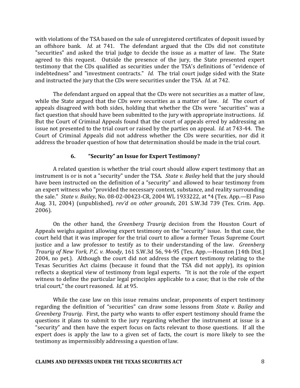with violations of the TSA based on the sale of unregistered certificates of deposit issued by an offshore bank. *Id.* at 741. The defendant argued that the CDs did not constitute "securities" and asked the trial judge to decide the issue as a matter of law. The State agreed to this request. Outside the presence of the jury, the State presented expert testimony that the CDs qualified as securities under the TSA's definitions of "evidence of indebtedness" and "investment contracts." *Id.* The trial court judge sided with the State and instructed the jury that the CDs were securities under the TSA. *Id.* at 742.

The defendant argued on appeal that the CDs were not securities as a matter of law, while the State argued that the CDs *were* securities as a matter of law. *Id.* The court of appeals disagreed with both sides, holding that whether the CDs were "securities" was a fact question that should have been submitted to the jury with appropriate instructions. *Id.* But the Court of Criminal Appeals found that the court of appeals erred by addressing an issue not presented to the trial court or raised by the parties on appeal. *Id.* at 743-44. The Court of Criminal Appeals did not address whether the CDs were securities, nor did it address the broader question of how that determination should be made in the trial court.

# **6. "Security"** an Issue for Expert Testimony?

A related question is whether the trial court should allow expert testimony that an instrument is or is not a "security" under the TSA. State v. Bailey held that the jury should have been instructed on the definition of a "security" and allowed to hear testimony from an expert witness who "provided the necessary context, substance, and reality surrounding the sale." *State v. Bailey*, No. 08-02-00423-CR, 2004 WL 1933222, at \*4 (Tex. App.—El Paso Aug. 31, 2004) (unpublished), *rev'd on other grounds*, 201 S.W.3d 739 (Tex. Crim. App. 2006). 

On the other hand, the *Greenberg Traurig* decision from the Houston Court of Appeals weighs against allowing expert testimony on the "security" issue. In that case, the court held that it was improper for the trial court to allow a former Texas Supreme Court justice and a law professor to testify as to their understanding of the law. *Greenberg Traurig of New York, P.C. v. Moody, 161 S.W.3d 56, 94-95 (Tex. App.*—Houston [14th Dist.] 2004, no pet.). Although the court did not address the expert testimony relating to the Texas Securities Act claims (because it found that the TSA did not apply), its opinion reflects a skeptical view of testimony from legal experts. "It is not the role of the expert witness to define the particular legal principles applicable to a case; that is the role of the trial court." the court reasoned. *Id.* at 95.

While the case law on this issue remains unclear, proponents of expert testimony regarding the definition of "securities" can draw some lessons from *State v. Bailey* and *Greenberg Traurig.* First, the party who wants to offer expert testimony should frame the questions it plans to submit to the jury regarding whether the instrument at issue is a "security" and then have the expert focus on facts relevant to those questions. If all the expert does is apply the law to a given set of facts, the court is more likely to see the testimony as impermissibly addressing a question of law.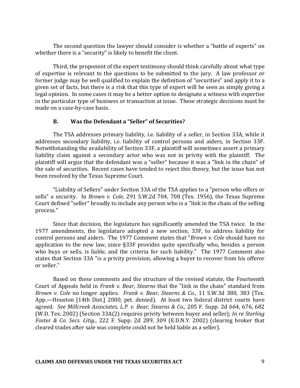The second question the lawyer should consider is whether a "battle of experts" on whether there is a "security" is likely to benefit the client.

Third, the proponent of the expert testimony should think carefully about what type of expertise is relevant to the questions to be submitted to the jury. A law professor or former judge may be well qualified to explain the definition of "securities" and apply it to a given set of facts, but there is a risk that this type of expert will be seen as simply giving a legal opinion. In some cases it may be a better option to designate a witness with expertise in the particular type of business or transaction at issue. These strategic decisions must be made on a case-by-case basis.

# **B. Was the Defendant a "Seller" of Securities?**

The TSA addresses primary liability, i.e. liability of a seller, in Section 33A, while it addresses secondary liability, i.e. liability of control persons and aiders, in Section 33F. Notwithstanding the availability of Section 33F, a plaintiff will sometimes assert a primary liability claim against a secondary actor who was not in privity with the plaintiff. The plaintiff will argue that the defendant was a "seller" because it was a "link in the chain" of the sale of securities. Recent cases have tended to reject this theory, but the issue has not been resolved by the Texas Supreme Court.

"Liability of Sellers" under Section 33A of the TSA applies to a "person who offers or sells" a security. In *Brown v. Cole*, 291 S.W.2d 704, 708 (Tex. 1956), the Texas Supreme Court defined "seller" broadly to include any person who is a "link in the chain of the selling process." 

Since that decision, the legislature has significantly amended the TSA twice. In the 1977 amendments, the legislature adopted a new section, 33F, to address liability for control persons and aiders. The 1977 Comment states that "*Brown v. Cole* should have no application to the new law, since §33F provides quite specifically who, besides a person who buys or sells, is liable, and the criteria for such liability." The 1977 Comment also states that Section 33A "is a privity provision, allowing a buyer to recover from his offeror or seller."

Based on these comments and the structure of the revised statute, the Fourteenth Court of Appeals held in *Frank v. Bear, Stearns* that the "link in the chain" standard from *Brown* v. Cole no longer applies. Frank v. Bear, Stearns & Co., 11 S.W.3d 380, 383 (Tex.) App.—Houston [14th Dist.] 2000, pet. denied). At least two federal district courts have agreed. See Millcreek Associates, L.P. v. Bear, Stearns & Co., 205 F. Supp. 2d 664, 676, 682 (W.D. Tex. 2002) (Section 33A(2) requires privity between buyer and seller); *In re Sterling Foster & Co. Secs. Litig.*, 222 F. Supp. 2d 289, 309 (E.D.N.Y. 2002) (clearing broker that cleared trades after sale was complete could not be held liable as a seller).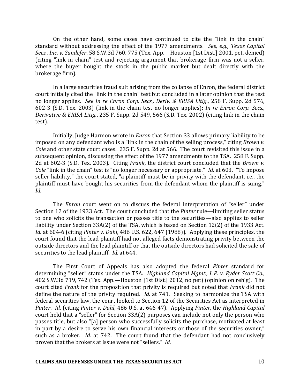On the other hand, some cases have continued to cite the "link in the chain" standard without addressing the effect of the 1977 amendments. See, e.g., Texas Capital *Secs., Inc. v. Sandefer*, 58 S.W.3d 760, 775 (Tex. App.—Houston [1st Dist.] 2001, pet. denied) (citing "link in chain" test and rejecting argument that brokerage firm was not a seller, where the buyer bought the stock in the public market but dealt directly with the brokerage firm).

In a large securities fraud suit arising from the collapse of Enron, the federal district court initially cited the "link in the chain" test but concluded in a later opinion that the test no longer applies. *See In re Enron Corp. Secs., Deriv. & ERISA Litig.*, 258 F. Supp. 2d 576, 602-3 (S.D. Tex. 2003) (link in the chain test no longer applies); *In re Enron Corp. Secs.*, *Derivative & ERISA Litig.*, 235 F. Supp. 2d 549, 566 (S.D. Tex. 2002) (citing link in the chain test).

Initially, Judge Harmon wrote in *Enron* that Section 33 allows primary liability to be imposed on any defendant who is a "link in the chain of the selling process," citing *Brown v. Cole* and other state court cases. 235 F. Supp. 2d at 566. The court revisited this issue in a subsequent opinion, discussing the effect of the 1977 amendments to the TSA. 258 F. Supp. 2d at 602-3 (S.D. Tex. 2003). Citing *Frank*, the district court concluded that the *Brown v. Cole* "link in the chain" test is "no longer necessary or appropriate." *Id.* at 603. "To impose seller liability," the court stated, "a plaintiff must be in privity with the defendant, i.e., the plaintiff must have bought his securities from the defendant whom the plaintiff is suing." *Id.*

The *Enron* court went on to discuss the federal interpretation of "seller" under Section 12 of the 1933 Act. The court concluded that the *Pinter* rule—limiting seller status to one who solicits the transaction or passes title to the securities—also applies to seller liability under Section  $33A(2)$  of the TSA, which is based on Section  $12(2)$  of the 1933 Act. *Id.* at 604-6 (citing *Pinter v. Dahl*, 486 U.S. 622, 647 (1988)). Applying these principles, the court found that the lead plaintiff had not alleged facts demonstrating privity between the outside directors and the lead plaintiff or that the outside directors had solicited the sale of securities to the lead plaintiff. *Id.* at 644.

The First Court of Appeals has also adopted the federal *Pinter* standard for determining "seller" status under the TSA. *Highland Capital Mgmt., L.P. v. Ryder Scott Co.*, 402 S.W.3d 719, 742 (Tex. App.—Houston [1st Dist.] 2012, no pet) (opinion on reh'g). The court cited *Frank* for the proposition that privity is required but noted that *Frank* did not define the nature of the privity required. *Id.* at 741. Seeking to harmonize the TSA with federal securities law, the court looked to Section 12 of the Securities Act as interpreted in *Pinter. Id.* (citing *Pinter v. Dahl*, 486 U.S. at 646-47). Applying *Pinter*, the *Highland Capital* court held that a "seller" for Section 33A(2) purposes can include not only the person who passes title, but also "[a] person who successfully solicits the purchase, motivated at least in part by a desire to serve his own financial interests or those of the securities owner," such as a broker. *Id.* at 742. The court found that the defendant had not conclusively proven that the brokers at issue were not "sellers." *Id.* 

#### **CLAIMS AND DEFENSES UNDER THE TEXAS SECURITIES ACT** 10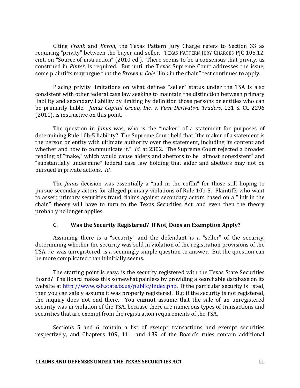Citing *Frank* and *Enron*, the Texas Pattern Jury Charge refers to Section 33 as requiring "privity" between the buyer and seller. TEXAS PATTERN JURY CHARGES PJC 105.12, cmt. on "Source of instruction" (2010 ed.). There seems to be a consensus that privity, as construed in *Pinter*, is required. But until the Texas Supreme Court addresses the issue, some plaintiffs may argue that the *Brown v. Cole* "link in the chain" test continues to apply.

Placing privity limitations on what defines "seller" status under the TSA is also consistent with other federal case law seeking to maintain the distinction between primary liability and secondary liability by limiting by definition those persons or entities who can be primarily liable. *Janus Capital Group, Inc. v. First Derivative Traders*, 131 S. Ct. 2296  $(2011)$ , is instructive on this point.

The question in *Janus* was, who is the "maker" of a statement for purposes of determining Rule 10b-5 liability? The Supreme Court held that "the maker of a statement is the person or entity with ultimate authority over the statement, including its content and whether and how to communicate it." *Id.* at 2302. The Supreme Court rejected a broader reading of "make," which would cause aiders and abettors to be "almost nonexistent" and "substantially undermine" federal case law holding that aider and abettors may not be pursued in private actions. *Id.* 

The *Janus* decision was essentially a "nail in the coffin" for those still hoping to pursue secondary actors for alleged primary violations of Rule 10b-5. Plaintiffs who want to assert primary securities fraud claims against secondary actors based on a "link in the chain" theory will have to turn to the Texas Securities Act, and even then the theory probably no longer applies.

# **C.** Was the Security Registered? If Not, Does an Exemption Apply?

Assuming there is a "security" and the defendant is a "seller" of the security, determining whether the security was sold in violation of the registration provisions of the TSA, *i.e.* was unregistered, is a seemingly simple question to answer. But the question can be more complicated than it initially seems.

The starting point is easy: is the security registered with the Texas State Securities Board? The Board makes this somewhat painless by providing a searchable database on its website at http://www.ssb.state.tx.us/public/Index.php. If the particular security is listed, then you can safely assume it was properly registered. But if the security is not registered, the inquiry does not end there. You **cannot** assume that the sale of an unregistered security was in violation of the TSA, because there are numerous types of transactions and securities that are exempt from the registration requirements of the TSA.

Sections 5 and 6 contain a list of exempt transactions and exempt securities respectively, and Chapters 109, 111, and 139 of the Board's rules contain additional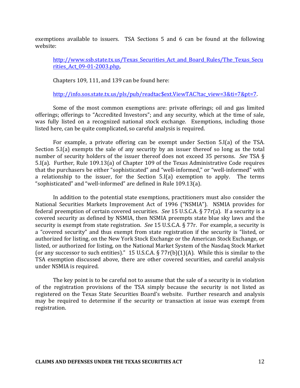exemptions available to issuers. TSA Sections 5 and 6 can be found at the following website:

http://www.ssb.state.tx.us/Texas\_Securities\_Act\_and\_Board\_Rules/The\_Texas\_Secu rities\_Act\_09-01-2003.php, 

Chapters  $109$ ,  $111$ , and  $139$  can be found here:

http://info.sos.state.tx.us/pls/pub/readtac\$ext.ViewTAC?tac\_view=3&ti=7&pt=7.

Some of the most common exemptions are: private offerings; oil and gas limited offerings; offerings to "Accredited Investors"; and any security, which at the time of sale, was fully listed on a recognized national stock exchange. Exemptions, including those listed here, can be quite complicated, so careful analysis is required.

For example, a private offering can be exempt under Section  $5.I(a)$  of the TSA. Section  $5.I(a)$  exempts the sale of any security by an issuer thereof so long as the total number of security holders of the issuer thereof does not exceed 35 persons. See TSA § 5.I(a). Further, Rule 109.13(a) of Chapter 109 of the Texas Administrative Code requires that the purchasers be either "sophisticated" and "well-informed," or "well-informed" with a relationship to the issuer, for the Section  $5.I(a)$  exemption to apply. The terms "sophisticated" and "well-informed" are defined in Rule 109.13(a).

In addition to the potential state exemptions, practitioners must also consider the National Securities Markets Improvement Act of 1996 ("NSMIA"). NSMIA provides for federal preemption of certain covered securities. See 15 U.S.C.A. § 77r(a). If a security is a covered security as defined by NSMIA, then NSMIA preempts state blue sky laws and the security is exempt from state registration. *See* 15 U.S.C.A. § 77r. For example, a security is a "covered security" and thus exempt from state registration if the security is "listed, or authorized for listing, on the New York Stock Exchange or the American Stock Exchange, or listed, or authorized for listing, on the National Market System of the Nasdaq Stock Market (or any successor to such entities)." 15 U.S.C.A.  $\S 77r(b)(1)(A)$ . While this is similar to the TSA exemption discussed above, there are other covered securities, and careful analysis under NSMIA is required.

The key point is to be careful not to assume that the sale of a security is in violation of the registration provisions of the TSA simply because the security is not listed as registered on the Texas State Securities Board's website. Further research and analysis may be required to determine if the security or transaction at issue was exempt from registration.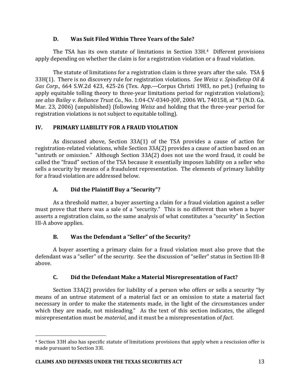# **D. Was Suit Filed Within Three Years of the Sale?**

The TSA has its own statute of limitations in Section  $33H<sup>4</sup>$  Different provisions apply depending on whether the claim is for a registration violation or a fraud violation.

The statute of limitations for a registration claim is three years after the sale. TSA  $\S$ 33H(1). There is no discovery rule for registration violations. See Weisz v. Spindletop Oil & *Gas Corp.*, 664 S.W.2d 423, 425-26 (Tex. App.—Corpus Christi 1983, no pet.) (refusing to apply equitable tolling theory to three-year limitations period for registration violations); *see also Bailey v. Reliance Trust Co.*, No. 1:04-CV-0340-JOF, 2006 WL 740158, at \*3 (N.D. Ga. Mar. 23, 2006) (unpublished) (following *Weisz* and holding that the three-year period for registration violations is not subject to equitable tolling).

# **IV. PRIMARY LIABILITY FOR A FRAUD VIOLATION**

As discussed above, Section  $33A(1)$  of the TSA provides a cause of action for registration-related violations, while Section 33A(2) provides a cause of action based on an "untruth or omission." Although Section  $33A(2)$  does not use the word fraud, it could be called the "fraud" section of the TSA because it essentially imposes liability on a seller who sells a security by means of a fraudulent representation. The elements of primary liability for a fraud violation are addressed below.

# **A. Did the Plaintiff Buy a "Security"?**

As a threshold matter, a buyer asserting a claim for a fraud violation against a seller must prove that there was a sale of a "security." This is no different than when a buyer asserts a registration claim, so the same analysis of what constitutes a "security" in Section III-A above applies.

# **B.** Was the Defendant a "Seller" of the Security?

A buyer asserting a primary claim for a fraud violation must also prove that the defendant was a "seller" of the security. See the discussion of "seller" status in Section III-B above.

# **C. Did the Defendant Make a Material Misrepresentation of Fact?**

Section  $33A(2)$  provides for liability of a person who offers or sells a security "by means of an untrue statement of a material fact or an omission to state a material fact necessary in order to make the statements made, in the light of the circumstances under which they are made, not misleading." As the text of this section indicates, the alleged misrepresentation must be *material*, and it must be a misrepresentation of *fact*.

<u>.</u>

<sup>&</sup>lt;sup>4</sup> Section 33H also has specific statute of limitations provisions that apply when a rescission offer is made pursuant to Section 33I.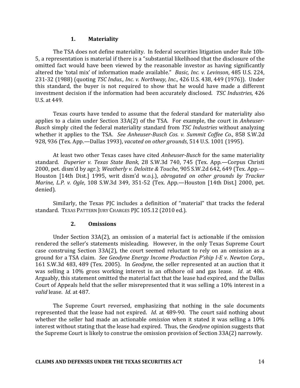#### **1. Materiality**

The TSA does not define materiality. In federal securities litigation under Rule 10b-5, a representation is material if there is a "substantial likelihood that the disclosure of the omitted fact would have been viewed by the reasonable investor as having significantly altered the 'total mix' of information made available." *Basic, Inc. v. Levinson*, 485 U.S. 224, 231-32 (1988) (quoting *TSC Indus., Inc. v. Northway, Inc.*, 426 U.S. 438, 449 (1976)). Under this standard, the buyer is not required to show that he would have made a different investment decision if the information had been accurately disclosed. *TSC Industries*, 426 U.S. at 449.

Texas courts have tended to assume that the federal standard for materiality also applies to a claim under Section 33A(2) of the TSA. For example, the court in *Anheuser-Busch* simply cited the federal materiality standard from *TSC Industries* without analyzing whether it applies to the TSA. See Anheuser-Busch Cos. v. Summit Coffee Co., 858 S.W.2d 928, 936 (Tex. App.—Dallas 1993), *vacated on other grounds*, 514 U.S. 1001 (1995).

At least two other Texas cases have cited *Anheuser-Busch* for the same materiality standard. *Duperier v. Texas State Bank*, 28 S.W.3d 740, 745 (Tex. App.—Corpus Christi 2000, pet. dism'd by agr.); *Weatherly v. Deloitte & Touche*, 905 S.W.2d 642, 649 (Tex. App.— Houston [14th Dist.] 1995, writ dism'd w.o.j.), abrogated on other grounds by Tracker *Marine, L.P. v. Ogle,* 108 S.W.3d 349, 351-52 (Tex. App.—Houston [14th Dist.] 2000, pet. denied).

Similarly, the Texas PJC includes a definition of "material" that tracks the federal standard. TEXAS PATTERN JURY CHARGES PJC 105.12 (2010 ed.).

#### **2. Omissions**

Under Section  $33A(2)$ , an omission of a material fact is actionable if the omission rendered the seller's statements misleading. However, in the only Texas Supreme Court case construing Section 33A(2), the court seemed reluctant to rely on an omission as a ground for a TSA claim. *See Geodyne Energy Income Production P'ship I-E v. Newton Corp.*, 161 S.W.3d 483, 489 (Tex. 2005). In *Geodyne*, the seller represented at an auction that it was selling a 10% gross working interest in an offshore oil and gas lease. *Id.* at 486. Arguably, this statement omitted the material fact that the lease had expired, and the Dallas Court of Appeals held that the seller misrepresented that it was selling a 10% interest in a *valid* lease. *Id.* at 487.

The Supreme Court reversed, emphasizing that nothing in the sale documents represented that the lease had not expired. *Id*. at 489-90. The court said nothing about whether the seller had made an actionable *omission* when it stated it was selling a 10% interest without stating that the lease had expired. Thus, the *Geodyne* opinion suggests that the Supreme Court is likely to construe the omission provision of Section 33A(2) narrowly.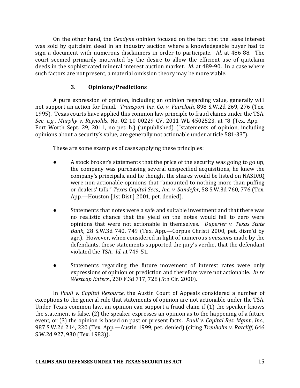On the other hand, the *Geodyne* opinion focused on the fact that the lease interest was sold by quitclaim deed in an industry auction where a knowledgeable buyer had to sign a document with numerous disclaimers in order to participate. *Id.* at 486-88. The court seemed primarily motivated by the desire to allow the efficient use of quitclaim deeds in the sophisticated mineral interest auction market. *Id.* at 489-90. In a case where such factors are not present, a material omission theory may be more viable.

# **3. Opinions/Predictions**

A pure expression of opinion, including an opinion regarding value, generally will not support an action for fraud. *Transport Ins. Co. v. Faircloth*, 898 S.W.2d 269, 276 (Tex. 1995). Texas courts have applied this common law principle to fraud claims under the TSA. *See, e.g., Murphy v. Reynolds, No.* 02-10-00229-CV, 2011 WL 4502523, at \*8 (Tex. App.— Fort Worth Sept. 29, 2011, no pet. h.) (unpublished) ("statements of opinion, including opinions about a security's value, are generally not actionable under article 581-33").

These are some examples of cases applying these principles:

- A stock broker's statements that the price of the security was going to go up, the company was purchasing several unspecified acquisitions, he knew the company's principals, and he thought the shares would be listed on NASDAO were non-actionable opinions that "amounted to nothing more than puffing or dealers' talk." *Texas Capital Secs., Inc. v. Sandefer*, 58 S.W.3d 760, 776 (Tex.) App.—Houston [1st Dist.] 2001, pet. denied).
- Statements that notes were a safe and suitable investment and that there was no realistic chance that the yield on the notes would fall to zero were opinions that were not actionable in themselves. *Duperier v. Texas State Bank*, 28 S.W.3d 740, 749 (Tex. App.—Corpus Christi 2000, pet. dism'd by agr.). However, when considered in light of numerous *omissions* made by the defendants, these statements supported the jury's verdict that the defendant violated the TSA. *Id.* at 749-51.
- Statements regarding the future movement of interest rates were only expressions of opinion or prediction and therefore were not actionable. In re *Westcap Enters.*, 230 F.3d 717, 728 (5th Cir. 2000).

In *Paull v. Capital Resource*, the Austin Court of Appeals considered a number of exceptions to the general rule that statements of opinion are not actionable under the TSA. Under Texas common law, an opinion can support a fraud claim if  $(1)$  the speaker knows the statement is false,  $(2)$  the speaker expresses an opinion as to the happening of a future event, or (3) the opinion is based on past or present facts. Paull v. Capital Res. Mgmt., Inc., 987 S.W.2d 214, 220 (Tex. App.—Austin 1999, pet. denied) (citing *Trenholm v. Ratcliff*, 646 S.W.2d 927, 930 (Tex. 1983)).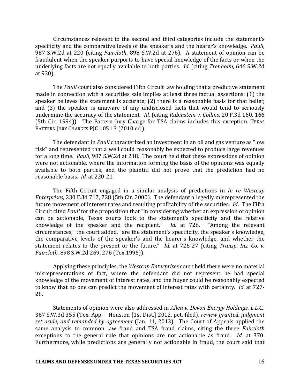Circumstances relevant to the second and third categories include the statement's specificity and the comparative levels of the speaker's and the hearer's knowledge. *Paull*, 987 S.W.2d at 220 (citing *Faircloth*, 898 S.W.2d at 276). A statement of opinion can be fraudulent when the speaker purports to have special knowledge of the facts or when the underlying facts are not equally available to both parties. *Id.* (citing *Trenholm*, 646 S.W.2d at 930).

The *Paull* court also considered Fifth Circuit law holding that a predictive statement made in connection with a securities sale implies at least three factual assertions: (1) the speaker believes the statement is accurate; (2) there is a reasonable basis for that belief; and (3) the speaker is unaware of any undisclosed facts that would tend to seriously undermine the accuracy of the statement. *Id.* (citing *Rubinstein v. Collins*, 20 F.3d 160, 166 (5th Cir. 1994)). The Pattern Jury Charge for TSA claims includes this exception. TEXAS PATTERN JURY CHARGES PJC 105.13 (2010 ed.).

The defendant in *Paull* characterized an investment in an oil and gas venture as "low risk" and represented that a well could reasonably be expected to produce large revenues for a long time. Paull, 987 S.W.2d at 218. The court held that these expressions of opinion were not actionable, where the information forming the basis of the opinions was equally available to both parties, and the plaintiff did not prove that the prediction had no reasonable basis. *Id.* at 220-21.

The Fifth Circuit engaged in a similar analysis of predictions in *In re Westcap Enterprises*, 230 F.3d 717, 728 (5th Cir. 2000). The defendant allegedly misrepresented the future movement of interest rates and resulting profitability of the securities. *Id*. The Fifth Circuit cited *Paull* for the proposition that "in considering whether an expression of opinion can be actionable, Texas courts look to the statement's specificity and the relative knowledge of the speaker and the recipient." *Id*. at 726. "Among the relevant circumstances," the court added, "are the statement's specificity, the speaker's knowledge, the comparative levels of the speaker's and the hearer's knowledge, and whether the statement relates to the present or the future." *Id.* at 726-27 (citing *Transp. Ins. Co. v. Faircloth,* 898 S.W.2d 269, 276 (Tex.1995)). 

Applying these principles, the *Westcap Enterprises* court held there were no material misrepresentations of fact, where the defendant did not represent he had special knowledge of the movement of interest rates, and the buyer could be reasonably expected to know that no one can predict the movement of interest rates with certainty. *Id.* at 727-28.

Statements of opinion were also addressed in *Allen v. Devon Energy Holdings, L.L.C.*, 367 S.W.3d 355 (Tex. App.-Houston [1st Dist.] 2012, pet. filed), *review granted, judgment set aside, and remanded by agreement* (Jan. 11, 2013). The Court of Appeals applied the same analysis to common law fraud and TSA fraud claims, citing the three *Faircloth* exceptions to the general rule that opinions are not actionable as fraud. *Id.* at 370. Furthermore, while predictions are generally not actionable in fraud, the court said that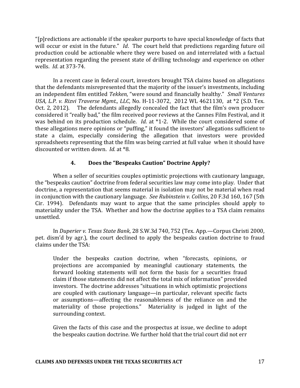" $[p]$  redictions are actionable if the speaker purports to have special knowledge of facts that will occur or exist in the future." *Id*. The court held that predictions regarding future oil production could be actionable where they were based on and interrelated with a factual representation regarding the present state of drilling technology and experience on other wells. *Id.* at 373-74.

In a recent case in federal court, investors brought TSA claims based on allegations that the defendants misrepresented that the majority of the issuer's investments, including an independent film entitled *Tekken*, "were sound and financially healthy." *Small Ventures USA, L.P. v. Rizvi Traverse Mgmt., LLC, No. H-11-3072, 2012 WL 4621130, at \*2 (S.D. Tex.* Oct. 2, 2012). The defendants allegedly concealed the fact that the film's own producer considered it "really bad," the film received poor reviews at the Cannes Film Festival, and it was behind on its production schedule. *Id.* at \*1-2. While the court considered some of these allegations mere opinions or "puffing," it found the investors' allegations sufficient to state a claim, especially considering the allegation that investors were provided spreadsheets representing that the film was being carried at full value when it should have discounted or written down. *Id.* at \*8.

#### **4. Does the "Bespeaks Caution" Doctrine Apply?**

When a seller of securities couples optimistic projections with cautionary language, the "bespeaks caution" doctrine from federal securities law may come into play. Under that doctrine, a representation that seems material in isolation may not be material when read in conjunction with the cautionary language. *See Rubinstein v. Collins*, 20 F.3d 160, 167 (5th Cir. 1994). Defendants may want to argue that the same principles should apply to materiality under the TSA. Whether and how the doctrine applies to a TSA claim remains unsettled.

In *Duperier v. Texas State Bank*, 28 S.W.3d 740, 752 (Tex. App.—Corpus Christi 2000, pet. dism'd by agr.), the court declined to apply the bespeaks caution doctrine to fraud claims under the TSA:

Under the bespeaks caution doctrine, when "forecasts, opinions, or projections are accompanied by meaningful cautionary statements, the forward looking statements will not form the basis for a securities fraud claim if those statements did not affect the total mix of information" provided investors. The doctrine addresses "situations in which optimistic projections are coupled with cautionary language—in particular, relevant specific facts or assumptions—affecting the reasonableness of the reliance on and the materiality of those projections." Materiality is judged in light of the surrounding context.

Given the facts of this case and the prospectus at issue, we decline to adopt the bespeaks caution doctrine. We further hold that the trial court did not err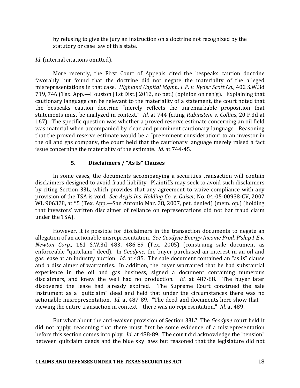by refusing to give the jury an instruction on a doctrine not recognized by the statutory or case law of this state.

*Id.* (internal citations omitted).

More recently, the First Court of Appeals cited the bespeaks caution doctrine favorably but found that the doctrine did not negate the materiality of the alleged misrepresentations in that case. *Highland Capital Mgmt., L.P. v. Ryder Scott Co.*, 402 S.W.3d 719, 746 (Tex. App.—Houston [1st Dist.] 2012, no pet.) (opinion on reh'g). Explaining that cautionary language can be relevant to the materiality of a statement, the court noted that the bespeaks caution doctrine "merely reflects the unremarkable proposition that statements must be analyzed in context." *Id.* at 744 (citing *Rubinstein v. Collins*, 20 F.3d at 167). The specific question was whether a proved reserve estimate concerning an oil field was material when accompanied by clear and prominent cautionary language. Reasoning that the proved reserve estimate would be a "preeminent consideration" to an investor in the oil and gas company, the court held that the cautionary language merely raised a fact issue concerning the materiality of the estimate. *Id.* at 744-45.

#### **5. Disclaimers / "As Is" Clauses**

In some cases, the documents accompanying a securities transaction will contain disclaimers designed to avoid fraud liability. Plaintiffs may seek to avoid such disclaimers by citing Section 33L, which provides that any agreement to waive compliance with any provision of the TSA is void. *See Aegis Ins. Holding Co. v. Gaiser*, No. 04-05-00938-CV, 2007 WL 906328, at \*5 (Tex. App.—San Antonio Mar. 28, 2007, pet. denied) (mem. op.) (holding that investors' written disclaimer of reliance on representations did not bar fraud claim under the TSA).

However, it is possible for disclaimers in the transaction documents to negate an allegation of an actionable misrepresentation. See Geodyne Energy Income Prod. P'ship I-E v. *Newton Corp.*, 161 S.W.3d 483, 486-89 (Tex. 2005) (construing sale document as enforceable "quitclaim" deed). In *Geodyne*, the buyer purchased an interest in an oil and gas lease at an industry auction. *Id*. at 485. The sale document contained an "as is" clause and a disclaimer of warranties. In addition, the buyer warranted that he had substantial experience in the oil and gas business, signed a document containing numerous disclaimers, and knew the well had no production. *Id.* at 487-88. The buyer later discovered the lease had already expired. The Supreme Court construed the sale instrument as a "quitclaim" deed and held that under the circumstances there was no actionable misrepresentation. *Id*. at 487-89. "The deed and documents here show that viewing the entire transaction in context—there was no representation." *Id.* at 489.

But what about the anti-waiver provision of Section 33L? The *Geodyne* court held it did not apply, reasoning that there must first be some evidence of a misrepresentation before this section comes into play. *Id.* at 488-89. The court did acknowledge the "tension" between quitclaim deeds and the blue sky laws but reasoned that the legislature did not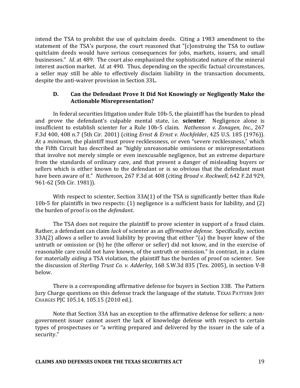intend the TSA to prohibit the use of quitclaim deeds. Citing a 1983 amendment to the statement of the TSA's purpose, the court reasoned that "[c]onstruing the TSA to outlaw quitclaim deeds would have serious consequences for jobs, markets, issuers, and small businesses." *Id.* at 489. The court also emphasized the sophisticated nature of the mineral interest auction market. *Id.* at 490. Thus, depending on the specific factual circumstances, a seller may still be able to effectively disclaim liability in the transaction documents, despite the anti-waiver provision in Section 33L.

### **D.** Can the Defendant Prove It Did Not Knowingly or Negligently Make the **Actionable Misrepresentation?**

In federal securities litigation under Rule 10b-5, the plaintiff has the burden to plead and prove the defendant's culpable mental state, i.e. **scienter**. Negligence alone is insufficient to establish scienter for a Rule 10b-5 claim. *Nathenson v. Zonagen, Inc.*, 267 F.3d 400, 408 n.7 (5th Cir. 2001) (citing *Ernst & Ernst v. Hochfelder*, 425 U.S. 185 (1976)). At a *minimum*, the plaintiff must prove recklessness, or even "severe recklessness," which the Fifth Circuit has described as "highly unreasonable omissions or misrepresentations that involve not merely simple or even inexcusable negligence, but an extreme departure from the standards of ordinary care, and that present a danger of misleading buyers or sellers which is either known to the defendant or is so obvious that the defendant must have been aware of it." Nathenson, 267 F.3d at 408 (citing *Broad v. Rockwell*, 642 F.2d 929, 961-62 (5th Cir. 1981)).

With respect to scienter, Section  $33A(1)$  of the TSA is significantly better than Rule 10b-5 for plaintiffs in two respects:  $(1)$  negligence is a sufficient basis for liability, and  $(2)$ the burden of proof is on the *defendant*.

The TSA does not require the plaintiff to prove scienter in support of a fraud claim. Rather, a defendant can claim *lack* of scienter as an *affirmative defense*. Specifically, section  $33A(2)$  allows a seller to avoid liability by proving that either "(a) the buyer knew of the untruth or omission or (b) he (the offeror or seller) did not know, and in the exercise of reasonable care could not have known, of the untruth or omission." In contrast, in a claim for materially *aiding* a TSA violation, the plaintiff has the burden of proof on scienter. See the discussion of *Sterling Trust Co. v. Adderley*, 168 S.W.3d 835 (Tex. 2005), in section V-B below. 

There is a corresponding affirmative defense for buyers in Section 33B. The Pattern Jury Charge questions on this defense track the language of the statute. TEXAS PATTERN JURY CHARGES PJC 105.14, 105.15 (2010 ed.).

Note that Section 33A has an exception to the affirmative defense for sellers: a nongovernment issuer cannot assert the lack of knowledge defense with respect to certain types of prospectuses or "a writing prepared and delivered by the issuer in the sale of a security."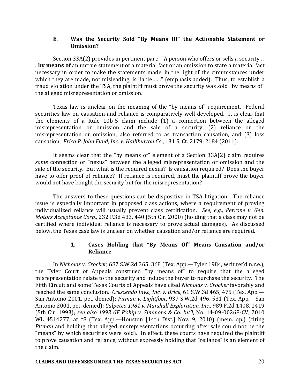### **E.** Was the Security Sold "By Means Of" the Actionable Statement or **Omission?**

Section  $33A(2)$  provides in pertinent part: "A person who offers or sells a security ... **by means of** an untrue statement of a material fact or an omission to state a material fact necessary in order to make the statements made, in the light of the circumstances under which they are made, not misleading, is liable  $\dots$ " (emphasis added). Thus, to establish a fraud violation under the TSA, the plaintiff must prove the security was sold "by means of" the alleged misrepresentation or omission.

Texas law is unclear on the meaning of the "by means of" requirement. Federal securities law on causation and reliance is comparatively well developed. It is clear that the elements of a Rule  $10b-5$  claim include  $(1)$  a connection between the alleged misrepresentation or omission and the sale of a security, (2) reliance on the misrepresentation or omission, also referred to as transaction causation, and (3) loss causation. *Erica P. John Fund, Inc. v. Halliburton Co.*, 131 S. Ct. 2179, 2184 (2011).

It seems clear that the "by means of" element of a Section  $33A(2)$  claim requires *some* connection or "nexus" between the alleged misrepresentation or omission and the sale of the security. But what is the required nexus? Is causation required? Does the buyer have to offer proof of reliance? If reliance is required, must the plaintiff prove the buver would not have bought the security but for the misrepresentation?

The answers to these questions can be dispositive in TSA litigation. The reliance issue is especially important in proposed class actions, where a requirement of proving individualized reliance will usually prevent class certification. See, e.g., Perrone v. Gen. *Motors Acceptance Corp.*, 232 F.3d 433, 440 (5th Cir. 2000) (holding that a class may not be certified where individual reliance is necessary to prove actual damages). As discussed below, the Texas case law is unclear on whether causation and/or reliance are required.

# 1. Cases Holding that "By Means Of" Means Causation and/or **Reliance**

In *Nicholas v. Crocker*, 687 S.W.2d 365, 368 (Tex. App.—Tyler 1984, writ ref'd n.r.e.), the Tyler Court of Appeals construed "by means of" to require that the alleged misrepresentation relate to the security and induce the buyer to purchase the security. The Fifth Circuit and some Texas Courts of Appeals have cited *Nicholas v. Crocker* favorably and reached the same conclusion. *Crescendo Invs., Inc. v. Brice*, 61 S.W.3d 465, 475 (Tex. App.— San Antonio 2001, pet. denied); *Pitman v. Lightfoot*, 937 S.W.2d 496, 531 (Tex. App.—San Antonio 2001, pet. denied); *Calpetco 1981 v. Marshall Exploration, Inc.*, 989 F.2d 1408, 1419 (5th Cir. 1993); see also 1993 GF P'ship v. Simmons & Co. Int'l, No. 14-09-00268-CV, 2010 WL 4514277, at \*8 (Tex. App.—Houston [14th Dist.] Nov. 9, 2010) (mem. op.) (citing *Pitman* and holding that alleged misrepresentations occurring after sale could not be the "means" by which securities were sold). In effect, these courts have required the plaintiff to prove causation and reliance, without expressly holding that "reliance" is an element of the claim.

#### **CLAIMS AND DEFENSES UNDER THE TEXAS SECURITIES ACT** 20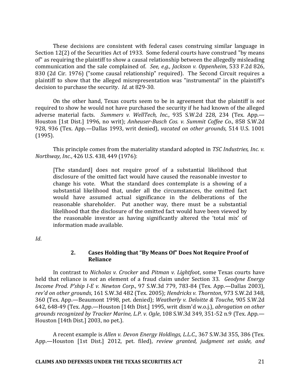These decisions are consistent with federal cases construing similar language in Section 12(2) of the Securities Act of 1933. Some federal courts have construed "by means of" as requiring the plaintiff to show a causal relationship between the allegedly misleading communication and the sale complained of. *See, e.g., Jackson v. Oppenheim*, 533 F.2d 826, 830 (2d Cir. 1976) ("some causal relationship" required). The Second Circuit requires a plaintiff to show that the alleged misrepresentation was "instrumental" in the plaintiff's decision to purchase the security. *Id.* at 829-30.

On the other hand, Texas courts seem to be in agreement that the plaintiff is *not* required to show he would not have purchased the security if he had known of the alleged adverse material facts. Summers v. WellTech, Inc., 935 S.W.2d 228, 234 (Tex. App.— Houston [1st Dist.] 1996, no writ); *Anheuser-Busch Cos. v. Summit Coffee Co.*, 858 S.W.2d 928, 936 (Tex. App.-Dallas 1993, writ denied), *vacated on other grounds*, 514 U.S. 1001 (1995). 

This principle comes from the materiality standard adopted in *TSC Industries, Inc. v. Northway, Inc.,* 426 U.S. 438, 449 (1976):

[The standard] does not require proof of a substantial likelihood that disclosure of the omitted fact would have caused the reasonable investor to change his vote. What the standard does contemplate is a showing of a substantial likelihood that, under all the circumstances, the omitted fact would have assumed actual significance in the deliberations of the reasonable shareholder. Put another way, there must be a substantial likelihood that the disclosure of the omitted fact would have been viewed by the reasonable investor as having significantly altered the 'total mix' of information made available.

*Id*.

# 2. Cases Holding that "By Means Of" Does Not Require Proof of **Reliance**

In contrast to *Nicholas v. Crocker* and *Pitman v. Lightfoot*, some Texas courts have held that reliance is *not* an element of a fraud claim under Section 33. *Geodyne Energy Income Prod. P'ship I-E v. Newton Corp.*, 97 S.W.3d 779, 783-84 (Tex. App.—Dallas 2003), *rev'd on other grounds*, 161 S.W.3d 482 (Tex. 2005); *Hendricks v. Thornton*, 973 S.W.2d 348, 360 (Tex. App.—Beaumont 1998, pet. denied); *Weatherly v. Deloitte & Touche*, 905 S.W.2d 642, 648-49 (Tex. App.—Houston [14th Dist.] 1995, writ dism'd w.o.j.), *abrogation on other grounds recognized by Tracker Marine, L.P. v. Ogle,* 108 S.W.3d 349, 351-52 n.9 (Tex. App.— Houston  $[14$ th Dist.] 2003, no pet.).

A recent example is *Allen v. Devon Energy Holdings, L.L.C.*, 367 S.W.3d 355, 386 (Tex. App.-Houston [1st Dist.] 2012, pet. filed), *review granted, judgment set aside, and*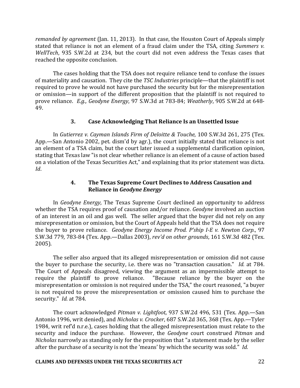*remanded by agreement* (Jan. 11, 2013). In that case, the Houston Court of Appeals simply stated that reliance is not an element of a fraud claim under the TSA, citing *Summers v. WellTech*, 935 S.W.2d at 234, but the court did not even address the Texas cases that reached the opposite conclusion.

The cases holding that the TSA does not require reliance tend to confuse the issues of materiality and causation. They cite the *TSC Industries* principle—that the plaintiff is not required to prove he would not have purchased the security but for the misrepresentation or omission—in support of the different proposition that the plaintiff is not required to prove reliance. *E.g., Geodyne Energy*, 97 S.W.3d at 783-84; *Weatherly*, 905 S.W.2d at 648-49.

### **3. Case Acknowledging That Reliance Is an Unsettled Issue**

In *Gutierrez v. Cayman Islands Firm of Deloitte & Touche*, 100 S.W.3d 261, 275 (Tex. App.—San Antonio 2002, pet. dism'd by agr.), the court initially stated that reliance is not an element of a TSA claim, but the court later issued a supplemental clarification opinion, stating that Texas law "is not clear whether reliance is an element of a cause of action based on a violation of the Texas Securities Act," and explaining that its prior statement was dicta. *Id*.

# **4.** The Texas Supreme Court Declines to Address Causation and **Reliance in** *Geodyne Energy*

In *Geodyne Energy*, The Texas Supreme Court declined an opportunity to address whether the TSA requires proof of causation and/or reliance. *Geodyne* involved an auction of an interest in an oil and gas well. The seller argued that the buyer did not rely on any misrepresentation or omission, but the Court of Appeals held that the TSA does not require the buyer to prove reliance. *Geodyne Energy Income Prod. P'ship I-E v. Newton Corp.*, 97 S.W.3d 779, 783-84 (Tex. App.-Dallas 2003), *rev'd on other grounds*, 161 S.W.3d 482 (Tex. 2005).

The seller also argued that its alleged misrepresentation or omission did not cause the buyer to purchase the security, i.e. there was no "transaction causation." *Id.* at 784. The Court of Appeals disagreed, viewing the argument as an impermissible attempt to require the plaintiff to prove reliance. "Because reliance by the buyer on the misrepresentation or omission is not required under the TSA," the court reasoned, "a buyer is not required to prove the misrepresentation or omission caused him to purchase the security." *Id.* at 784.

The court acknowledged *Pitman v. Lightfoot*, 937 S.W.2d 496, 531 (Tex. App.-San Antonio 1996, writ denied), and *Nicholas v. Crocker*, 687 S.W.2d 365, 368 (Tex. App.—Tyler 1984, writ ref'd n.r.e.), cases holding that the alleged misrepresentation must relate to the security and induce the purchase. However, the *Geodyne* court construed *Pitman* and *Nicholas* narrowly as standing only for the proposition that "a statement made by the seller after the purchase of a security is not the 'means' by which the security was sold." *Id.* 

#### **CLAIMS AND DEFENSES UNDER THE TEXAS SECURITIES ACT** 22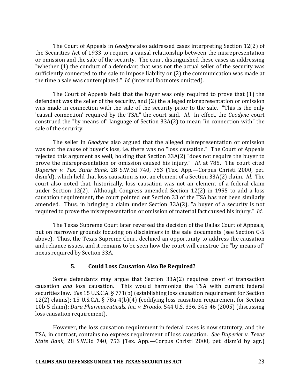The Court of Appeals in *Geodyne* also addressed cases interpreting Section 12(2) of the Securities Act of 1933 to require a causal relationship between the misrepresentation or omission and the sale of the security. The court distinguished these cases as addressing "whether  $(1)$  the conduct of a defendant that was not the actual seller of the security was sufficiently connected to the sale to impose liability or (2) the communication was made at the time a sale was contemplated." *Id.* (internal footnotes omitted).

The Court of Appeals held that the buyer was only required to prove that  $(1)$  the defendant was the seller of the security, and (2) the alleged misrepresentation or omission was made in connection with the sale of the security prior to the sale. "This is the only 'causal connection' required by the TSA," the court said. *Id.* In effect, the *Geodyne* court construed the "by means of" language of Section  $33A(2)$  to mean "in connection with" the sale of the security.

The seller in *Geodyne* also argued that the alleged misrepresentation or omission was not the cause of buyer's loss, i.e. there was no "loss causation." The Court of Appeals rejected this argument as well, holding that Section  $33A(2)$  "does not require the buyer to prove the misrepresentation or omission caused his injury." *Id.* at 785. The court cited *Duperier v. Tex. State Bank*, 28 S.W.3d 740, 753 (Tex. App.—Corpus Christi 2000, pet. dism'd), which held that loss causation is not an element of a Section 33A(2) claim. *Id.* The court also noted that, historically, loss causation was not an element of a federal claim under Section  $12(2)$ . Although Congress amended Section  $12(2)$  in 1995 to add a loss causation requirement, the court pointed out Section 33 of the TSA has not been similarly amended. Thus, in bringing a claim under Section  $33A(2)$ , "a buyer of a security is not required to prove the misrepresentation or omission of material fact caused his injury." *Id.* 

The Texas Supreme Court later reversed the decision of the Dallas Court of Appeals, but on narrower grounds focusing on disclaimers in the sale documents (see Section C-5 above). Thus, the Texas Supreme Court declined an opportunity to address the causation and reliance issues, and it remains to be seen how the court will construe the "by means of" nexus required by Section 33A.

# **5. Could Loss Causation Also Be Required?**

Some defendants may argue that Section  $33A(2)$  requires proof of transaction causation *and* loss causation. This would harmonize the TSA with current federal securities law. See 15 U.S.C.A. § 771(b) (establishing loss causation requirement for Section 12(2) claims); 15 U.S.C.A. § 78u-4(b)(4) (codifying loss causation requirement for Section 10b-5 claim); *Dura Pharmaceuticals, Inc. v. Broudo*, 544 U.S. 336, 345-46 (2005) (discussing loss causation requirement).

However, the loss causation requirement in federal cases is now statutory, and the TSA, in contrast, contains no express requirement of loss causation. See Duperier v. Texas *State Bank*, 28 S.W.3d 740, 753 (Tex. App.—Corpus Christi 2000, pet. dism'd by agr.)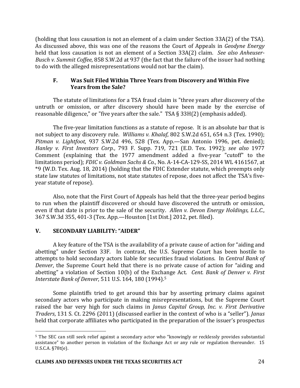(holding that loss causation is not an element of a claim under Section  $33A(2)$  of the TSA). As discussed above, this was one of the reasons the Court of Appeals in *Geodyne Energy* held that loss causation is not an element of a Section 33A(2) claim. See also Anheuser-*Busch v. Summit Coffee*, 858 S.W.2d at 937 (the fact that the failure of the issuer had nothing to do with the alleged misrepresentations would not bar the claim).

# **F.** Was Suit Filed Within Three Years from Discovery and Within Five **Years from the Sale?**

The statute of limitations for a TSA fraud claim is "three years after discovery of the untruth or omission, or after discovery should have been made by the exercise of reasonable diligence," or "five years after the sale."  $TSA \S 33H(2)$  (emphasis added).

The five-year limitation functions as a statute of repose. It is an absolute bar that is not subject to any discovery rule. Williams v. Khalaf, 802 S.W.2d 651, 654 n.3 (Tex. 1990); *Pitman v. Lightfoot*, 937 S.W.2d 496, 528 (Tex. App.—San Antonio 1996, pet. denied); *Hanley v. First Investors Corp.*, 793 F. Supp. 719, 721 (E.D. Tex. 1992); *see also*  1977 Comment (explaining that the 1977 amendment added a five-year "cutoff" to the limitations period); *FDIC v. Goldman Sachs & Co.*, No. A-14-CA-129-SS, 2014 WL 4161567, at \*9 (W.D. Tex. Aug. 18, 2014) (holding that the FDIC Extender statute, which preempts only state law statutes of limitations, not state statutes of repose, does not affect the TSA's fiveyear statute of repose).

Also, note that the First Court of Appeals has held that the three-year period begins to run when the plaintiff discovered or should have discovered the untruth or omission, even if that date is prior to the sale of the security. Allen v. Devon Energy Holdings, L.L.C., 367 S.W.3d 355, 401-3 (Tex. App.-Houston [1st Dist.] 2012, pet. filed).

# **V. SECONDARY LIABILITY: "AIDER"**

A key feature of the TSA is the availability of a private cause of action for "aiding and abetting" under Section 33F. In contrast, the U.S. Supreme Court has been hostile to attempts to hold secondary actors liable for securities fraud violations. In *Central Bank of Denver*, the Supreme Court held that there is no private cause of action for "aiding and abetting" a violation of Section 10(b) of the Exchange Act. *Cent. Bank of Denver v. First Interstate Bank of Denver,* 511 U.S. 164, 180 (1994).<sup>5</sup>

Some plaintiffs tried to get around this bar by asserting primary claims against secondary actors who participate in making misrepresentations, but the Supreme Court raised the bar very high for such claims in *Janus Capital Group, Inc. v. First Derivative Traders*, 131 S. Ct. 2296 (2011) (discussed earlier in the context of who is a "seller"). *Janus* held that corporate affiliates who participated in the preparation of the issuer's prospectus

<sup>&</sup>lt;u>.</u> <sup>5</sup> The SEC can still seek relief against a secondary actor who "knowingly or recklessly provides substantial assistance" to another person in violation of the Exchange Act or any rule or regulation thereunder. 15 U.S.C.A. §78t(e).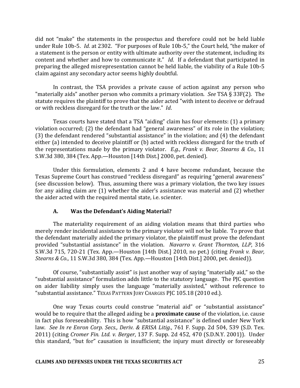did not "make" the statements in the prospectus and therefore could not be held liable under Rule 10b-5. *Id.* at 2302. "For purposes of Rule 10b-5," the Court held, "the maker of a statement is the person or entity with ultimate authority over the statement, including its content and whether and how to communicate it." *Id*. If a defendant that participated in preparing the alleged misrepresentation cannot be held liable, the viability of a Rule 10b-5 claim against any secondary actor seems highly doubtful.

In contrast, the TSA provides a private cause of action against any person who "materially aids" another person who commits a primary violation. See TSA § 33F(2). The statute requires the plaintiff to prove that the aider acted "with intent to deceive or defraud or with reckless disregard for the truth or the law." *Id.* 

Texas courts have stated that a TSA "aiding" claim has four elements: (1) a primary violation occurred; (2) the defendant had "general awareness" of its role in the violation; (3) the defendant rendered "substantial assistance" in the violation: and (4) the defendant either (a) intended to deceive plaintiff or (b) acted with reckless disregard for the truth of the representations made by the primary violator. *E.g., Frank v. Bear, Stearns & Co.*, 11 S.W.3d 380, 384 (Tex. App.—Houston [14th Dist.] 2000, pet. denied).

Under this formulation, elements 2 and 4 have become redundant, because the Texas Supreme Court has construed "reckless disregard" as requiring "general awareness" (see discussion below). Thus, assuming there was a primary violation, the two key issues for any aiding claim are  $(1)$  whether the aider's assistance was material and  $(2)$  whether the aider acted with the required mental state, i.e. scienter.

# A. Was the Defendant's Aiding Material?

The materiality requirement of an aiding violation means that third parties who merely render incidental assistance to the primary violator will not be liable. To prove that the defendant materially aided the primary violator, the plaintiff must prove the defendant provided "substantial assistance" in the violation. Navarro v. Grant Thornton, LLP, 316 S.W.3d 715, 720-21 (Tex. App.—Houston [14th Dist.] 2010, no pet.) (citing *Frank v. Bear, Stearns & Co.*, 11 S.W.3d 380, 384 (Tex. App.—Houston [14th Dist.] 2000, pet. denied)).

Of course, "substantially assist" is just another way of saying "materially aid," so the "substantial assistance" formulation adds little to the statutory language. The PJC question on aider liability simply uses the language "materially assisted," without reference to "substantial assistance." TEXAS PATTERN JURY CHARGES PJC 105.18 (2010 ed.).

One way Texas courts could construe "material aid" or "substantial assistance" would be to require that the alleged aiding be a **proximate cause** of the violation, i.e. cause in fact plus foreseeability. This is how "substantial assistance" is defined under New York law. See In re Enron Corp. Secs., Deriv. & ERISA Litig., 761 F. Supp. 2d 504, 539 (S.D. Tex. 2011) (citing *Cromer Fin. Ltd. v. Berger*, 137 F. Supp. 2d 452, 470 (S.D.N.Y. 2001)). Under this standard, "but for" causation is insufficient; the injury must directly or foreseeably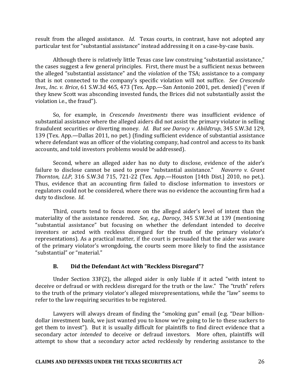result from the alleged assistance. *Id*. Texas courts, in contrast, have not adopted any particular test for "substantial assistance" instead addressing it on a case-by-case basis.

Although there is relatively little Texas case law construing "substantial assistance," the cases suggest a few general principles. First, there must be a sufficient nexus between the alleged "substantial assistance" and the *violation* of the TSA; assistance to a company that is not connected to the company's specific violation will not suffice. See Crescendo *Invs., Inc. v. Brice,* 61 S.W.3d 465, 473 (Tex. App.—San Antonio 2001, pet. denied) ("even if they knew Scott was absconding invested funds, the Brices did not substantially assist the violation i.e., the fraud").

So, for example, in *Crescendo Investments* there was insufficient evidence of substantial assistance where the alleged aiders did not assist the primary violator in selling fraudulent securities or diverting money. *Id. But see Darocy v. Abildtrup*, 345 S.W.3d 129, 139 (Tex. App.—Dallas 2011, no pet.) (finding sufficient evidence of substantial assistance where defendant was an officer of the violating company, had control and access to its bank accounts, and told investors problems would be addressed).

Second, where an alleged aider has no duty to disclose, evidence of the aider's failure to disclose cannot be used to prove "substantial assistance." Navarro v. Grant *Thornton, LLP,* 316 S.W.3d 715, 721-22 (Tex. App.—Houston [14th Dist.] 2010, no pet.). Thus, evidence that an accounting firm failed to disclose information to investors or regulators could not be considered, where there was no evidence the accounting firm had a duty to disclose. *Id.* 

Third, courts tend to focus more on the alleged aider's level of intent than the materiality of the assistance rendered. *See, e.g., Darocy*, 345 S.W.3d at 139 (mentioning "substantial assistance" but focusing on whether the defendant intended to deceive investors or acted with reckless disregard for the truth of the primary violator's representations). As a practical matter, if the court is persuaded that the aider was aware of the primary violator's wrongdoing, the courts seem more likely to find the assistance "substantial" or "material."

# **B.** Did the Defendant Act with "Reckless Disregard"?

Under Section  $33F(2)$ , the alleged aider is only liable if it acted "with intent to deceive or defraud or with reckless disregard for the truth or the law." The "truth" refers to the truth of the primary violator's alleged misrepresentations, while the "law" seems to refer to the law requiring securities to be registered.

Lawyers will always dream of finding the "smoking gun" email (e.g. "Dear billiondollar investment bank, we just wanted you to know we're going to lie to these suckers to get them to invest"). But it is usually difficult for plaintiffs to find direct evidence that a secondary actor *intended* to deceive or defraud investors. More often, plaintiffs will attempt to show that a secondary actor acted recklessly by rendering assistance to the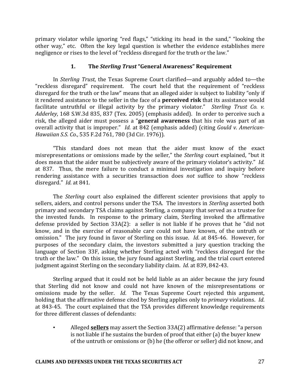primary violator while ignoring "red flags," "sticking its head in the sand," "looking the other way." etc. Often the key legal question is whether the evidence establishes mere negligence or rises to the level of "reckless disregard for the truth or the law."

### **1.** The *Sterling Trust* "General Awareness" Requirement

In *Sterling Trust*, the Texas Supreme Court clarified—and arguably added to—the "reckless disregard" requirement. The court held that the requirement of "reckless disregard for the truth or the law" means that an alleged aider is subject to liability "only if it rendered assistance to the seller in the face of a **perceived risk** that its assistance would facilitate untruthful or illegal activity by the primary violator." *Sterling Trust Co. v. Adderley*, 168 S.W.3d 835, 837 (Tex. 2005) (emphasis added). In order to perceive such a risk, the alleged aider must possess a "**general awareness** that his role was part of an overall activity that is improper." *Id.* at 842 (emphasis added) (citing *Gould v. American-Hawaiian S.S. Co.*, 535 F.2d 761, 780 (3d Cir. 1976)).

"This standard does not mean that the aider must know of the exact misrepresentations or omissions made by the seller," the *Sterling* court explained, "but it does mean that the aider must be subjectively aware of the primary violator's activity." *Id.* at 837. Thus, the mere failure to conduct a minimal investigation and inquiry before rendering assistance with a securities transaction does *not* suffice to show "reckless disregard." *Id.* at 841.

The *Sterling* court also explained the different scienter provisions that apply to sellers, aiders, and control persons under the TSA. The investors in *Sterling* asserted both primary and secondary TSA claims against Sterling, a company that served as a trustee for the invested funds. In response to the primary claim, Sterling invoked the affirmative defense provided by Section  $33A(2)$ : a seller is not liable if he proves that he "did not know, and in the exercise of reasonable care could not have known, of the untruth or omission." The jury found in favor of Sterling on this issue. *Id.* at 845-46. However, for purposes of the secondary claim, the investors submitted a jury question tracking the language of Section 33F, asking whether Sterling acted with "reckless disregard for the truth or the law." On this issue, the jury found against Sterling, and the trial court entered judgment against Sterling on the secondary liability claim. *Id.* at 839, 842-43.

Sterling argued that it could not be held liable as an aider because the jury found that Sterling did not know and could not have known of the misrepresentations or omissions made by the seller. *Id*. The Texas Supreme Court rejected this argument, holding that the affirmative defense cited by Sterling applies only to *primary* violations. *Id*. at 843-45. The court explained that the TSA provides different knowledge requirements for three different classes of defendants:

Alleged **sellers** may assert the Section 33A(2) affirmative defense: "a person is not liable if he sustains the burden of proof that either  $(a)$  the buyer knew of the untruth or omissions or (b) he (the offeror or seller) did not know, and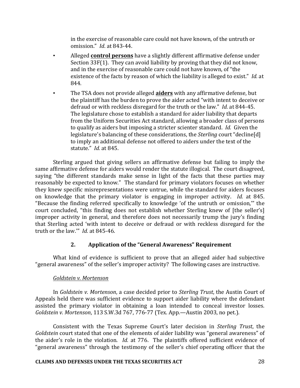in the exercise of reasonable care could not have known, of the untruth or omission." *Id*. at 843-44.

- Alleged **control persons** have a slightly different affirmative defense under Section  $33F(1)$ . They can avoid liability by proving that they did not know, and in the exercise of reasonable care could not have known, of "the existence of the facts by reason of which the liability is alleged to exist." *Id.* at 844.
- The TSA does not provide alleged **aiders** with any affirmative defense, but the plaintiff has the burden to prove the aider acted "with intent to deceive or defraud or with reckless disregard for the truth or the law." *Id.* at 844-45. The legislature chose to establish a standard for aider liability that departs from the Uniform Securities Act standard, allowing a broader class of persons to qualify as aiders but imposing a stricter scienter standard. *Id.* Given the legislature's balancing of these considerations, the *Sterling* court "decline[d] to imply an additional defense not offered to aiders under the text of the statute." *Id.* at 845.

Sterling argued that giving sellers an affirmative defense but failing to imply the same affirmative defense for aiders would render the statute illogical. The court disagreed, saying "the different standards make sense in light of the facts that these parties may reasonably be expected to know." The standard for primary violators focuses on whether they knew specific misrepresentations were untrue, while the standard for aiders focuses on knowledge that the primary violator is engaging in improper activity. *Id.* at 845. "Because the finding referred specifically to knowledge 'of the untruth or omission," the court concluded, "this finding does not establish whether Sterling knew of [the seller's] improper activity in general, and therefore does not necessarily trump the jury's finding that Sterling acted 'with intent to deceive or defraud or with reckless disregard for the truth or the law."" *Id.* at 845-46.

# **2.** Application of the "General Awareness" Requirement

What kind of evidence is sufficient to prove that an alleged aider had subjective "general awareness" of the seller's improper activity? The following cases are instructive.

# *Goldstein v. Mortenson*

In *Goldstein v. Mortenson*, a case decided prior to *Sterling Trust*, the Austin Court of Appeals held there was sufficient evidence to support aider liability where the defendant assisted the primary violator in obtaining a loan intended to conceal investor losses. *Goldstein v. Mortenson,* 113 S.W.3d 767, 776-77 (Tex. App.—Austin 2003, no pet.).

Consistent with the Texas Supreme Court's later decision in *Sterling Trust*, the *Goldstein* court stated that one of the elements of aider liability was "general awareness" of the aider's role in the violation. *Id.* at 776. The plaintiffs offered sufficient evidence of "general awareness" through the testimony of the seller's chief operating officer that the

### **CLAIMS AND DEFENSES UNDER THE TEXAS SECURITIES ACT** 28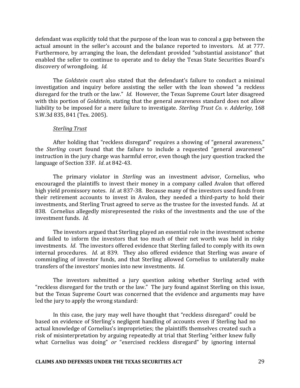defendant was explicitly told that the purpose of the loan was to conceal a gap between the actual amount in the seller's account and the balance reported to investors. *Id.* at 777. Furthermore, by arranging the loan, the defendant provided "substantial assistance" that enabled the seller to continue to operate and to delay the Texas State Securities Board's discovery of wrongdoing. *Id.* 

The *Goldstein* court also stated that the defendant's failure to conduct a minimal investigation and inquiry before assisting the seller with the loan showed "a reckless" disregard for the truth or the law." *Id*. However, the Texas Supreme Court later disagreed with this portion of *Goldstein*, stating that the general awareness standard does not allow liability to be imposed for a mere failure to investigate. *Sterling Trust Co. v. Adderley*, 168 S.W.3d 835, 841 (Tex. 2005).

#### *Sterling Trust*

After holding that "reckless disregard" requires a showing of "general awareness," the *Sterling* court found that the failure to include a requested "general awareness" instruction in the jury charge was harmful error, even though the jury question tracked the language of Section 33F. *Id.* at 842-43.

The primary violator in *Sterling* was an investment advisor, Cornelius, who encouraged the plaintiffs to invest their money in a company called Avalon that offered high yield promissory notes. *Id.* at 837-38. Because many of the investors used funds from their retirement accounts to invest in Avalon, they needed a third-party to hold their investments, and Sterling Trust agreed to serve as the trustee for the invested funds. *Id.* at 838. Cornelius allegedly misrepresented the risks of the investments and the use of the investment funds. *Id.* 

The investors argued that Sterling played an essential role in the investment scheme and failed to inform the investors that too much of their net worth was held in risky investments. *Id.* The investors offered evidence that Sterling failed to comply with its own internal procedures. *Id.* at 839. They also offered evidence that Sterling was aware of commingling of investor funds, and that Sterling allowed Cornelius to unilaterally make transfers of the investors' monies into new investments. *Id.* 

The investors submitted a jury question asking whether Sterling acted with "reckless disregard for the truth or the law." The jury found against Sterling on this issue, but the Texas Supreme Court was concerned that the evidence and arguments may have led the jury to apply the wrong standard:

In this case, the jury may well have thought that "reckless disregard" could be based on evidence of Sterling's negligent handling of accounts even if Sterling had no actual knowledge of Cornelius's improprieties; the plaintiffs themselves created such a risk of misinterpretation by arguing repeatedly at trial that Sterling "either knew fully what Cornelius was doing" or "exercised reckless disregard" by ignoring internal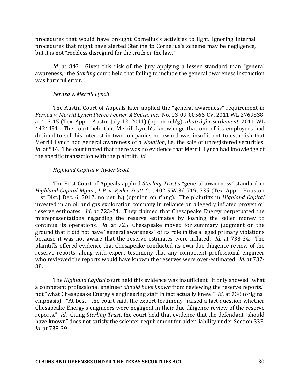procedures that would have brought Cornelius's activities to light. Ignoring internal procedures that might have alerted Sterling to Cornelius's scheme may be negligence, but it is not "reckless disregard for the truth or the law."

*Id.* at 843. Given this risk of the jury applying a lesser standard than "general awareness," the *Sterling* court held that failing to include the general awareness instruction was harmful error.

#### *Fernea v. Merrill Lynch*

The Austin Court of Appeals later applied the "general awareness" requirement in *Fernea v. Merrill Lynch Pierce Fenner & Smith, Inc.*, No. 03-09-00566-CV, 2011 WL 2769838, at \*13-15 (Tex. App.—Austin July 12, 2011) (op. on reh'g), *abated for settlement*, 2011 WL 4424491. The court held that Merrill Lynch's knowledge that one of its employees had decided to sell his interest in two companies he owned was insufficient to establish that Merrill Lynch had general awareness of a *violation*, *i.e.* the sale of unregistered securities. *Id.* at \*14. The court noted that there was no evidence that Merrill Lynch had knowledge of the specific transaction with the plaintiff. *Id*.

#### *Highland Capital v. Ryder Scott*

The First Court of Appeals applied *Sterling Trust's* "general awareness" standard in *Highland Capital Mgmt., L.P. v. Ryder Scott Co.,* 402 S.W.3d 719, 735 (Tex. App.—Houston [1st Dist.] Dec. 6, 2012, no pet. h.] (opinion on r'hng). The plaintiffs in *Highland Capital* invested in an oil and gas exploration company in reliance on allegedly inflated proven oil reserve estimates. *Id.* at 723-24. They claimed that Chesapeake Energy perpetuated the misrepresentations regarding the reserve estimates by loaning the seller money to continue its operations. *Id.* at 725. Chesapeake moved for summary judgment on the ground that it did not have "general awareness" of its role in the alleged primary violations because it was not aware that the reserve estimates were inflated. *Id.* at 733-34. The plaintiffs offered evidence that Chesapeake conducted its own due diligence review of the reserve reports, along with expert testimony that any competent professional engineer who reviewed the reports would have known the reserves were over-estimated. *Id.* at 737-38.

The *Highland Capital* court held this evidence was insufficient. It only showed "what a competent professional engineer *should have known* from reviewing the reserve reports," not "what Chesapeake Energy's engineering staff in fact actually knew." *Id.* at 738 (original emphasis). "At best," the court said, the expert testimony "raised a fact question whether Chesapeake Energy's engineers were negligent in their due diligence review of the reserve reports." *Id.* Citing *Sterling Trust*, the court held that evidence that the defendant "should" have known" does not satisfy the scienter requirement for aider liability under Section 33F. *Id.* at 738-39.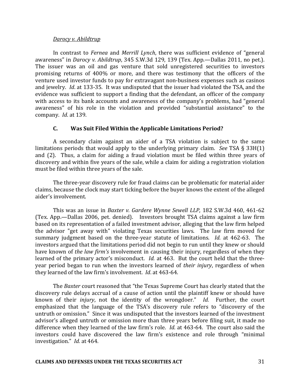#### *Darocy v. Abildtrup*

In contrast to *Fernea* and *Merrill Lynch*, there was sufficient evidence of "general awareness" in *Darocy v. Abildtrup*, 345 S.W.3d 129, 139 (Tex. App.—Dallas 2011, no pet.). The issuer was an oil and gas venture that sold unregistered securities to investors promising returns of 400% or more, and there was testimony that the officers of the venture used investor funds to pay for extravagant non-business expenses such as casinos and jewelry. *Id.* at 133-35. It was undisputed that the issuer had violated the TSA, and the evidence was sufficient to support a finding that the defendant, an officer of the company with access to its bank accounts and awareness of the company's problems, had "general awareness" of his role in the violation and provided "substantial assistance" to the company. *Id.* at 139.

### **C. Was Suit Filed Within the Applicable Limitations Period?**

A secondary claim against an aider of a TSA violation is subject to the same limitations periods that would apply to the underlying primary claim. See TSA § 33H(1) and  $(2)$ . Thus, a claim for aiding a fraud violation must be filed within three years of discovery and within five years of the sale, while a claim for aiding a registration violation must be filed within three years of the sale.

The three-year discovery rule for fraud claims can be problematic for material aider claims, because the clock may start ticking before the buyer knows the extent of the alleged aider's involvement.

This was an issue in *Baxter v. Gardere Wynne Sewell LLP*, 182 S.W.3d 460, 461-62 (Tex. App.—Dallas 2006, pet. denied). Investors brought TSA claims against a law firm based on its representation of a failed investment advisor, alleging that the law firm helped the advisor "get away with" violating Texas securities laws. The law firm moved for summary judgment based on the three-year statute of limitations. *Id.* at 462-63. The investors argued that the limitations period did not begin to run until they knew or should have known of *the law firm's* involvement in causing their injury, regardless of when they learned of the primary actor's misconduct. *Id.* at 463. But the court held that the threeyear period began to run when the investors learned of *their injury*, regardless of when they learned of the law firm's involvement. *Id.* at 463-64.

The *Baxter* court reasoned that "the Texas Supreme Court has clearly stated that the discovery rule delays accrual of a cause of action until the plaintiff knew or should have known of their *injury*, not the identity of the wrongdoer." *Id.* Further, the court emphasized that the language of the TSA's discovery rule refers to "discovery of the untruth or omission." Since it was undisputed that the investors learned of the investment advisor's alleged untruth or omission more than three years before filing suit, it made no difference when they learned of the law firm's role. *Id.* at 463-64. The court also said the investors could have discovered the law firm's existence and role through "minimal investigation." *Id.* at 464.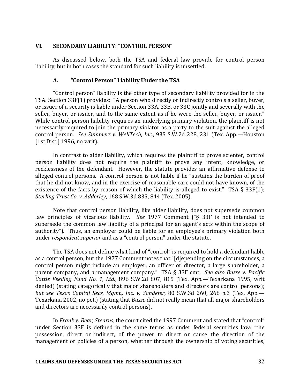#### **VI. SECONDARY LIABILITY: "CONTROL PERSON"**

As discussed below, both the TSA and federal law provide for control person liability, but in both cases the standard for such liability is unsettled.

#### A. *"***Control Person" Liability Under the TSA**

"Control person" liability is the other type of secondary liability provided for in the TSA. Section 33F(1) provides: "A person who directly or indirectly controls a seller, buyer, or issuer of a security is liable under Section 33A, 33B, or 33C jointly and severally with the seller, buver, or issuer, and to the same extent as if he were the seller, buver, or issuer." While control person liability requires an underlying primary violation, the plaintiff is not necessarily required to join the primary violator as a party to the suit against the alleged control person. See Summers v. WellTech, Inc., 935 S.W.2d 228, 231 (Tex. App.-Houston [1st Dist.] 1996, no writ].

In contrast to aider liability, which requires the plaintiff to prove scienter, control person liability does not require the plaintiff to prove any intent, knowledge, or recklessness of the defendant. However, the statute provides an affirmative defense to alleged control persons. A control person is not liable if he "sustains the burden of proof that he did not know, and in the exercise of reasonable care could not have known, of the existence of the facts by reason of which the liability is alleged to exist." TSA  $\S$  33F(1); *Sterling Trust Co. v. Adderley*, 168 S.W.3d 835, 844 (Tex. 2005).

Note that control person liability, like aider liability, does not supersede common law principles of vicarious liability. See 1977 Comment ("§ 33F is not intended to supersede the common law liability of a principal for an agent's acts within the scope of authority"). Thus, an employer could be liable for an employee's primary violation both under *respondeat superior* and as a "control person" under the statute.

The TSA does not define what kind of "control" is required to hold a defendant liable as a control person, but the 1977 Comment notes that "[d]epending on the circumstances, a control person might include an employer, an officer or director, a large shareholder, a parent company, and a management company." TSA § 33F cmt. See also Busse v. Pacific *Cattle Feeding Fund No. 1, Ltd.*, 896 S.W.2d 807, 815 (Tex. App.—Texarkana 1995, writ denied) (stating categorically that major shareholders and directors are control persons); *but see Texas Capital Secs. Mgmt., Inc. v. Sandefer*, 80 S.W.3d 260, 268 n.3 (Tex. App.— Texarkana 2002, no pet.) (stating that *Busse* did not really mean that all major shareholders and directors are necessarily control persons).

In *Frank v. Bear, Stearns*, the court cited the 1997 Comment and stated that "control" under Section 33F is defined in the same terms as under federal securities law: "the possession, direct or indirect, of the power to direct or cause the direction of the management or policies of a person, whether through the ownership of voting securities,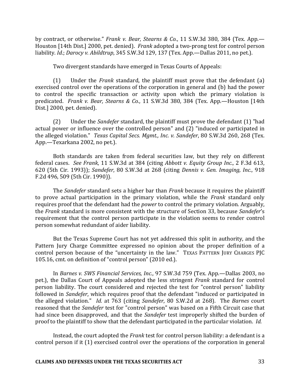by contract, or otherwise." *Frank v. Bear, Stearns & Co.*, 11 S.W.3d 380, 384 (Tex. App.— Houston [14th Dist.] 2000, pet. denied). Frank adopted a two-prong test for control person liability. *Id.*; *Darocy v. Abildtrup*, 345 S.W.3d 129, 137 (Tex. App.—Dallas 2011, no pet.).

Two divergent standards have emerged in Texas Courts of Appeals:

(1) Under the *Frank* standard, the plaintiff must prove that the defendant (a) exercised control over the operations of the corporation in general and (b) had the power to control the specific transaction or activity upon which the primary violation is predicated. Frank v. Bear, Stearns & Co., 11 S.W.3d 380, 384 (Tex. App.—Houston [14th Dist.] 2000, pet. denied).

(2) Under the *Sandefer* standard, the plaintiff must prove the defendant (1) "had actual power or influence over the controlled person" and (2) "induced or participated in the alleged violation." *Texas Capital Secs. Mgmt., Inc. v. Sandefer*, 80 S.W.3d 260, 268 (Tex. App.—Texarkana 2002, no pet.).

Both standards are taken from federal securities law, but they rely on different federal cases. See Frank, 11 S.W.3d at 384 (citing *Abbott v. Equity Group Inc.*, 2 F.3d 613, 620 (5th Cir. 1993)); *Sandefer*, 80 S.W.3d at 268 (citing *Dennis v. Gen. Imaging, Inc.*, 918 F.2d 496, 509 (5th Cir. 1990)).

The *Sandefer* standard sets a higher bar than *Frank* because it requires the plaintiff to prove actual participation in the primary violation, while the *Frank* standard only requires proof that the defendant had the *power* to control the primary violation. Arguably, the *Frank* standard is more consistent with the structure of Section 33, because Sandefer's requirement that the control person participate in the violation seems to render control person somewhat redundant of aider liability.

But the Texas Supreme Court has not yet addressed this split in authority, and the Pattern Jury Charge Committee expressed no opinion about the proper definition of a control person because of the "uncertainty in the law." TEXAS PATTERN JURY CHARGES PJC 105.16, cmt. on definition of "control person" (2010 ed.).

In *Barnes v. SWS Financial Services, Inc.*, 97 S.W.3d 759 (Tex. App.—Dallas 2003, no pet.), the Dallas Court of Appeals adopted the less stringent *Frank* standard for control person liability. The court considered and rejected the test for "control person" liability followed in *Sandefer*, which requires proof that the defendant "induced or participated in the alleged violation." *Id.* at 763 (citing *Sandefer*, 80 S.W.2d at 268). The *Barnes* court reasoned that the *Sandefer* test for "control person" was based on a Fifth Circuit case that had since been disapproved, and that the *Sandefer* test improperly shifted the burden of proof to the plaintiff to show that the defendant participated in the particular violation. *Id.* 

Instead, the court adopted the *Frank* test for control person liability: a defendant is a control person if it  $(1)$  exercised control over the operations of the corporation in general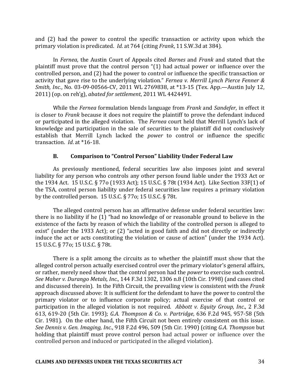and  $(2)$  had the power to control the specific transaction or activity upon which the primary violation is predicated. *Id.* at 764 (citing *Frank*, 11 S.W.3d at 384).

In *Fernea*, the Austin Court of Appeals cited *Barnes* and *Frank* and stated that the plaintiff must prove that the control person " $(1)$  had actual power or influence over the controlled person, and (2) had the power to control or influence the specific transaction or activity that gave rise to the underlying violation." *Fernea v. Merrill Lynch Pierce Fenner & Smith, Inc.*, No. 03-09-00566-CV, 2011 WL 2769838, at \*13-15 (Tex. App.—Austin July 12, 2011) (op. on reh'g), *abated for settlement*, 2011 WL 4424491.

While the *Fernea* formulation blends language from *Frank* and *Sandefer*, in effect it is closer to *Frank* because it does not require the plaintiff to prove the defendant induced or participated in the alleged violation. The *Fernea* court held that Merrill Lynch's lack of knowledge and participation in the sale of securities to the plaintiff did not conclusively establish that Merrill Lynch lacked the *power* to control or influence the specific transaction. *Id.* at \*16-18.

### **B.** Comparison to "Control Person" Liability Under Federal Law

As previously mentioned, federal securities law also imposes joint and several liability for any person who controls any other person found liable under the 1933 Act or the 1934 Act. 15 U.S.C. § 77o (1933 Act); 15 U.S.C. § 78t (1934 Act). Like Section 33F(1) of the TSA, control person liability under federal securities law requires a primary violation by the controlled person. 15 U.S.C. § 77o; 15 U.S.C. § 78t.

The alleged control person has an affirmative defense under federal securities law: there is no liability if he  $(1)$  "had no knowledge of or reasonable ground to believe in the existence of the facts by reason of which the liability of the controlled person is alleged to exist" (under the 1933 Act); or  $(2)$  "acted in good faith and did not directly or indirectly induce the act or acts constituting the violation or cause of action" (under the 1934 Act). 15 U.S.C. § 77o; 15 U.S.C. § 78t.

There is a split among the circuits as to whether the plaintiff must show that the alleged control person actually exercised control over the primary violator's general affairs, or rather, merely need show that the control person had the *power* to exercise such control. *See Maher v. Durango Metals, Inc.,* 144 F.3d 1302, 1306 n.8 (10th Cir. 1998) (and cases cited and discussed therein). In the Fifth Circuit, the prevailing view is consistent with the *Frank* approach discussed above: It is sufficient for the defendant to have the power to control the primary violator or to influence corporate policy; actual exercise of that control or participation in the alleged violation is not required. Abbott v. Equity Group, Inc., 2 F.3d 613, 619-20 (5th Cir. 1993); *G.A. Thompson & Co. v. Partridge*, 636 F.2d 945, 957-58 (5th Cir. 1981). On the other hand, the Fifth Circuit not been entirely consistent on this issue. *See Dennis v. Gen. Imaging, Inc.*, 918 F.2d 496, 509 (5th Cir. 1990) (citing *G.A. Thompson* but holding that plaintiff must prove control person had actual power or influence over the controlled person and induced or participated in the alleged violation).

#### **CLAIMS AND DEFENSES UNDER THE TEXAS SECURITIES ACT** 34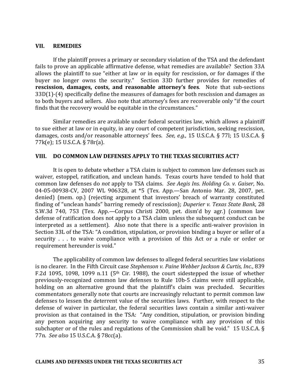#### **VII. REMEDIES**

If the plaintiff proves a primary or secondary violation of the TSA and the defendant fails to prove an applicable affirmative defense, what remedies are available? Section 33A allows the plaintiff to sue "either at law or in equity for rescission, or for damages if the buyer no longer owns the security." Section 33D further provides for remedies of **rescission, damages, costs, and reasonable attorney's fees.** Note that sub-sections  $33D(1)$ -(4) specifically define the measures of damages for both rescission and damages as to both buyers and sellers. Also note that attorney's fees are recoverable only "if the court finds that the recovery would be equitable in the circumstances."

Similar remedies are available under federal securities law, which allows a plaintiff to sue either at law or in equity, in any court of competent jurisdiction, seeking rescission, damages, costs and/or reasonable attorneys' fees. *See, e.g.*, 15 U.S.C.A. § 77l; 15 U.S.C.A. §  $77k(e)$ ; 15 U.S.C.A. §  $78r(a)$ .

#### VIII. DO COMMON LAW DEFENSES APPLY TO THE TEXAS SECURITIES ACT?

It is open to debate whether a TSA claim is subject to common law defenses such as waiver, estoppel, ratification, and unclean hands. Texas courts have tended to hold that common law defenses do *not* apply to TSA claims. See *Aegis Ins. Holding Co. v. Gaiser*, No. 04-05-00938-CV, 2007 WL 906328, at \*5 (Tex. App.—San Antonio Mar. 28, 2007, pet. denied) (mem. op.) (rejecting argument that investors' breach of warranty constituted finding of "unclean hands" barring remedy of rescission); *Duperier v. Texas State Bank*, 28 S.W.3d 740, 753 (Tex. App.—Corpus Christi 2000, pet. dism'd by agr.) (common law defense of ratification does not apply to a TSA claim unless the subsequent conduct can be interpreted as a settlement). Also note that there is a specific anti-waiver provision in Section 33L of the TSA: "A condition, stipulation, or provision binding a buyer or seller of a security  $\ldots$  to waive compliance with a provision of this Act or a rule or order or requirement hereunder is void."

The applicability of common law defenses to alleged federal securities law violations is no clearer. In the Fifth Circuit case *Stephenson v. Paine Webber Jackson & Curtis, Inc.*, 839 F.2d 1095, 1098, 1099 n.11 ( $5<sup>th</sup>$  Cir. 1988), the court sidestepped the issue of whether previously-recognized common law defenses to Rule 10b-5 claims were still applicable, holding on an alternative ground that the plaintiff's claim was precluded. Securities commentators generally note that courts are increasingly reluctant to permit common law defenses to lessen the deterrent value of the securities laws. Further, with respect to the defense of waiver in particular, the federal securities laws contain a similar anti-waiver provision as that contained in the TSA: "Any condition, stipulation, or provision binding any person acquiring any security to waive compliance with any provision of this subchapter or of the rules and regulations of the Commission shall be void." 15 U.S.C.A.  $\S$ 77n. *See also* 15 U.S.C.A. § 78cc(a).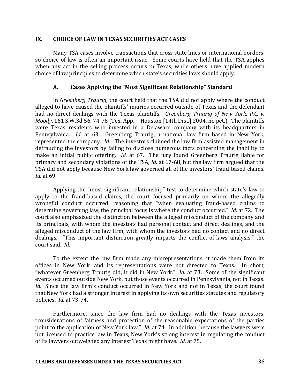#### **IX. CHOICE OF LAW IN TEXAS SECURITIES ACT CASES**

Many TSA cases involve transactions that cross state lines or international borders, so choice of law is often an important issue. Some courts have held that the TSA applies when any act in the selling process occurs in Texas, while others have applied modern choice of law principles to determine which state's securities laws should apply.

### **A. Cases Applying the "Most Significant Relationship" Standard**

In *Greenberg Traurig*, the court held that the TSA did not apply where the conduct alleged to have caused the plaintiffs' injuries occurred outside of Texas and the defendant had no direct dealings with the Texas plaintiffs. *Greenberg Traurig of New York, P.C. v. Moody*, 161 S.W.3d 56, 74-76 (Tex. App.—Houston [14th Dist.] 2004, no pet.). The plaintiffs were Texas residents who invested in a Delaware company with its headquarters in Pennsylvania. *Id.* at 63. Greenberg Traurig, a national law firm based in New York, represented the company. *Id.* The investors claimed the law firm assisted management in defrauding the investors by failing to disclose numerous facts concerning the inability to make an initial public offering. *Id.* at 67. The jury found Greenberg Traurig liable for primary and secondary violations of the TSA, *Id.* at 67-68, but the law firm argued that the TSA did not apply because New York law governed all of the investors' fraud-based claims. *Id.* at 69.

Applying the "most significant relationship" test to determine which state's law to apply to the fraud-based claims, the court focused primarily on where the allegedly wrongful conduct occurred, reasoning that "when evaluating fraud-based claims to determine governing law, the principal focus is where the conduct occurred." *Id.* at 72. The court also emphasized the distinction between the alleged misconduct of the company and its principals, with whom the investors had personal contact and direct dealings, and the alleged misconduct of the law firm, with whom the investors had no contact and no direct dealings. "This important distinction greatly impacts the conflict-of-laws analysis," the court said. *Id.* 

To the extent the law firm made any misrepresentations, it made them from its offices in New York, and its representations were not directed to Texas. In short, "whatever Greenberg Traurig did, it did in New York." *Id.* at 73. Some of the significant events occurred outside New York, but those events occurred in Pennsylvania, not in Texas. *Id.* Since the law firm's conduct occurred in New York and not in Texas, the court found that New York had a stronger interest in applying its own securities statutes and regulatory policies. *Id.* at 73-74.

Furthermore, since the law firm had no dealings with the Texas investors, "considerations of fairness and protection of the reasonable expectations of the parties point to the application of New York law." *Id.* at 74. In addition, because the lawyers were not licensed to practice law in Texas, New York's strong interest in regulating the conduct of its lawyers outweighed any interest Texas might have. *Id.* at 75.

#### **CLAIMS AND DEFENSES UNDER THE TEXAS SECURITIES ACT** 36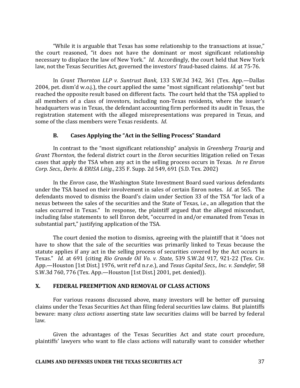"While it is arguable that Texas has some relationship to the transactions at issue," the court reasoned, "it does not have the dominant or most significant relationship necessary to displace the law of New York." *Id.* Accordingly, the court held that New York law, not the Texas Securities Act, governed the investors' fraud-based claims. *Id.* at 75-76.

In *Grant Thornton LLP v. Suntrust Bank*, 133 S.W.3d 342, 361 (Tex. App.—Dallas 2004, pet. dism'd w.o.j.), the court applied the same "most significant relationship" test but reached the opposite result based on different facts. The court held that the TSA applied to all members of a class of investors, including non-Texas residents, where the issuer's headquarters was in Texas, the defendant accounting firm performed its audit in Texas, the registration statement with the alleged misrepresentations was prepared in Texas, and some of the class members were Texas residents. *Id.* 

# **B. Cases Applying the "Act in the Selling Process" Standard**

In contrast to the "most significant relationship" analysis in *Greenberg Traurig* and *Grant Thornton*, the federal district court in the *Enron* securities litigation relied on Texas cases that apply the TSA when any act in the selling process occurs in Texas. *In re Enron Corp. Secs., Deriv. & ERISA Litig.,* 235 F. Supp. 2d 549, 691 (S.D. Tex. 2002)

In the *Enron* case, the Washington State Investment Board sued various defendants under the TSA based on their involvement in sales of certain Enron notes. *Id.* at 565. The defendants moved to dismiss the Board's claim under Section 33 of the TSA "for lack of a nexus between the sales of the securities and the State of Texas, i.e., an allegation that the sales occurred in Texas." In response, the plaintiff argued that the alleged misconduct, including false statements to sell Enron debt, "occurred in and/or emanated from Texas in substantial part," justifying application of the TSA.

The court denied the motion to dismiss, agreeing with the plaintiff that it "does not have to show that the sale of the securities was primarily linked to Texas because the statute applies if any act in the selling process of securities covered by the Act occurs in Texas." *Id.* at 691 (citing Rio Grande Oil Vo. v. State, 539 S.W.2d 917, 921-22 (Tex. Civ. App.—Houston [1st Dist.] 1976, writ ref'd n.r.e.), and *Texas Capital Secs., Inc. v. Sandefer*, 58 S.W.3d 760, 776 (Tex. App.—Houston [1st Dist.] 2001, pet. denied)).

# **X. FEDERAL PREEMPTION AND REMOVAL OF CLASS ACTIONS**

For various reasons discussed above, many investors will be better off pursuing claims under the Texas Securities Act than filing federal securities law claims. But plaintiffs beware: many *class actions* asserting state law securities claims will be barred by federal law.

Given the advantages of the Texas Securities Act and state court procedure, plaintiffs' lawyers who want to file class actions will naturally want to consider whether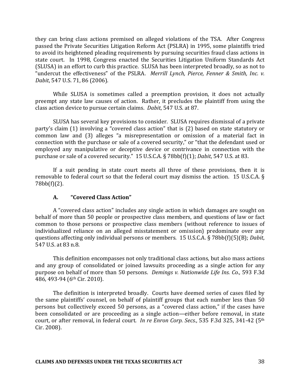they can bring class actions premised on alleged violations of the TSA. After Congress passed the Private Securities Litigation Reform Act (PSLRA) in 1995, some plaintiffs tried to avoid its heightened pleading requirements by pursuing securities fraud class actions in state court. In 1998, Congress enacted the Securities Litigation Uniform Standards Act (SLUSA) in an effort to curb this practice. SLUSA has been interpreted broadly, so as not to "undercut the effectiveness" of the PSLRA. Merrill Lynch, Pierce, Fenner & Smith, Inc. v. *Dabit*, 547 U.S. 71, 86 (2006).

While SLUSA is sometimes called a preemption provision, it does not actually preempt any state law causes of action. Rather, it precludes the plaintiff from using the class action device to pursue certain claims. *Dabit*, 547 U.S. at 87.

SLUSA has several key provisions to consider. SLUSA requires dismissal of a private party's claim (1) involving a "covered class action" that is (2) based on state statutory or common law and (3) alleges "a misrepresentation or omission of a material fact in connection with the purchase or sale of a covered security," or "that the defendant used or employed any manipulative or deceptive device or contrivance in connection with the purchase or sale of a covered security." 15 U.S.C.A. § 78bb(f)(1); *Dabit*, 547 U.S. at 83.

If a suit pending in state court meets all three of these provisions, then it is removable to federal court so that the federal court may dismiss the action. 15 U.S.C.A.  $\S$ 78bb(f)(2). 

# **A. "Covered Class Action"**

A "covered class action" includes any single action in which damages are sought on behalf of more than 50 people or prospective class members, and questions of law or fact common to those persons or prospective class members (without reference to issues of individualized reliance on an alleged misstatement or omission) predominate over any questions affecting only individual persons or members. 15 U.S.C.A. § 78bb(f)(5)(B); *Dabit*, 547 U.S. at 83 n.8. 

This definition encompasses not only traditional class actions, but also mass actions and any group of consolidated or joined lawsuits proceeding as a single action for any purpose on behalf of more than 50 persons. *Demings v. Nationwide Life Ins. Co.*, 593 F.3d 486, 493-94 (6<sup>th</sup> Cir. 2010).

The definition is interpreted broadly. Courts have deemed series of cases filed by the same plaintiffs' counsel, on behalf of plaintiff groups that each number less than 50 persons but collectively exceed 50 persons, as a "covered class action," if the cases have been consolidated or are proceeding as a single action—either before removal, in state court, or after removal, in federal court. *In re Enron Corp. Secs.*, 535 F.3d 325, 341-42 (5<sup>th</sup> Cir. 2008).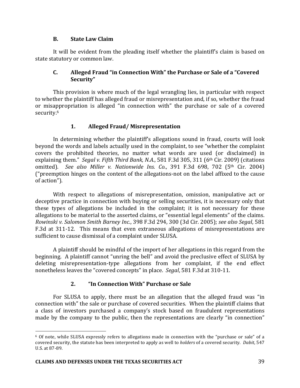# **B. State Law Claim**

It will be evident from the pleading itself whether the plaintiff's claim is based on state statutory or common law.

# **C.** Alleged Fraud "in Connection With" the Purchase or Sale of a "Covered **Security"**

This provision is where much of the legal wrangling lies, in particular with respect to whether the plaintiff has alleged fraud or misrepresentation and, if so, whether the fraud or misappropriation is alleged "in connection with" the purchase or sale of a covered security.<sup>6</sup>

# **1. Alleged Fraud/ Misrepresentation**

In determining whether the plaintiff's allegations sound in fraud, courts will look bevond the words and labels actually used in the complaint, to see "whether the complaint covers the prohibited theories, no matter what words are used (or disclaimed) in explaining them." *Segal v. Fifth Third Bank, N.A.*, 581 F.3d 305, 311 (6<sup>th</sup> Cir. 2009) (citations omitted). See also Miller v. Nationwide Ins. Co., 391 F.3d 698, 702 (5<sup>th</sup> Cir. 2004) ("preemption hinges on the content of the allegations-not on the label affixed to the cause of action").

With respect to allegations of misrepresentation, omission, manipulative act or deceptive practice in connection with buying or selling securities, it is necessary only that these types of allegations be included in the complaint; it is not necessary for these allegations to be material to the asserted claims, or "essential legal elements" of the claims. *Rowinski v. Salomon Smith Barney Inc.*, 398 F.3d 294, 300 (3d Cir. 2005); *see also Segal*, 581 F.3d at 311-12. This means that even extraneous allegations of misrepresentations are sufficient to cause dismissal of a complaint under SLUSA.

A plaintiff should be mindful of the import of her allegations in this regard from the beginning. A plaintiff cannot "unring the bell" and avoid the preclusive effect of SLUSA by deleting misrepresentation-type allegations from her complaint, if the end effect nonetheless leaves the "covered concepts" in place. *Segal*, 581 F.3d at 310-11.

# **2. "In Connection With" Purchase or Sale**

For SLUSA to apply, there must be an allegation that the alleged fraud was "in connection with" the sale or purchase of covered securities. When the plaintiff claims that a class of investors purchased a company's stock based on fraudulent representations made by the company to the public, then the representations are clearly "in connection"

<u>.</u>

 $6$  Of note, while SLUSA expressly refers to allegations made in connection with the "purchase or sale" of a covered security, the statute has been interpreted to apply as well to *holders* of a covered security. *Dabit*, 547 U.S. at 87-89.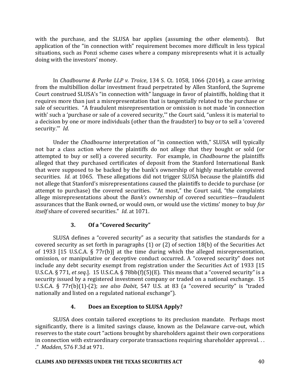with the purchase, and the SLUSA bar applies (assuming the other elements). But application of the "in connection with" requirement becomes more difficult in less typical situations, such as Ponzi scheme cases where a company misrepresents what it is actually doing with the investors' money.

In *Chadbourne & Parke LLP v. Troice*, 134 S. Ct. 1058, 1066 (2014), a case arriving from the multibillion dollar investment fraud perpetrated by Allen Stanford, the Supreme Court construed SLUSA's "in connection with" language in favor of plaintiffs, holding that it requires more than just a misrepresentation that is tangentially related to the purchase or sale of securities. "A fraudulent misrepresentation or omission is not made 'in connection with' such a 'purchase or sale of a covered security," the Court said, "unless it is material to a decision by one or more individuals (other than the fraudster) to buy or to sell a 'covered security."" *Id.* 

Under the *Chadbourne* interpretation of "in connection with," SLUSA will typically not bar a class action where the plaintiffs do not allege that they bought or sold (or attempted to buy or sell) a covered security. For example, in *Chadbourne* the plaintiffs alleged that they purchased certificates of deposit from the Stanford International Bank that were supposed to be backed by the bank's ownership of highly marketable covered securities. *Id.* at 1065. These allegations did not trigger SLUSA because the plaintiffs did not allege that Stanford's misrepresentations caused the plaintiffs to decide to purchase (or attempt to purchase) the covered securities. "At most," the Court said, "the complaints allege misrepresentations about the *Bank's* ownership of covered securities—fraudulent assurances that the Bank owned, or would own, or would use the victims' money to buy for *itself* share of covered securities." *Id.* at 1071.

# **3.** Of a "Covered Security"

SLUSA defines a "covered security" as a security that satisfies the standards for a covered security as set forth in paragraphs  $(1)$  or  $(2)$  of section 18(b) of the Securities Act of 1933 [15 U.S.C.A. § 77r(b)] at the time during which the alleged misrepresentation, omission, or manipulative or deceptive conduct occurred. A "covered security" does not include any debt security exempt from registration under the Securities Act of 1933 [15] U.S.C.A.  $\S 771$ , *et seq.*]. 15 U.S.C.A.  $\S 78bb(f)(5)(E)$ . This means that a "covered security" is a security issued by a registered investment company or traded on a national exchange. 15 U.S.C.A. § 77r(b)(1)-(2); *see also Dabit*, 547 U.S. at 83 (a "covered security" is "traded nationally and listed on a regulated national exchange").

# **4. Does an Exception to SLUSA Apply?**

SLUSA does contain tailored exceptions to its preclusion mandate. Perhaps most significantly, there is a limited savings clause, known as the Delaware carve-out, which reserves to the state court "actions brought by shareholders against their own corporations in connection with extraordinary corporate transactions requiring shareholder approval... ." *Madden*, 576 F.3d at 971. 

# **CLAIMS AND DEFENSES UNDER THE TEXAS SECURITIES ACT 40**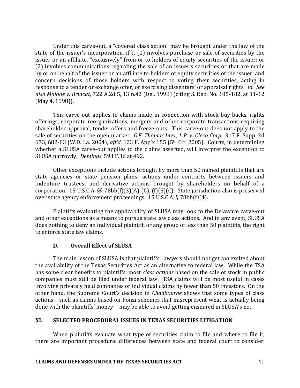Under this carve-out, a "covered class action" may be brought under the law of the state of the issuer's incorporation, if it  $(1)$  involves purchase or sale of securities by the issuer or an affiliate, "exclusively" from or to holders of equity securities of the issuer; or (2) involves communications regarding the sale of an issuer's securities or that are made by or on behalf of the issuer or an affiliate to holders of equity securities of the issuer, and concern decisions of those holders with respect to voting their securities, acting in response to a tender or exchange offer, or exercising dissenters' or appraisal rights. *Id.* See also Malone v. Brincat, 722 A.2d 5, 13 n.42 (Del. 1998) (citing S. Rep. No. 105-182, at 11-12 (May 4, 1998)).

This carve-out applies to claims made in connection with stock buy-backs, rights offerings, corporate reorganizations, mergers and other corporate transactions requiring shareholder approval, tender offers and freeze-outs. This carve-out does not apply to the sale of securities on the open market. *G.F. Thomas Invs., L.P. v. Cleco Corp.*, 317 F. Supp. 2d 673, 682-83 (W.D. La. 2004), *aff'd*, 123 F. App'x 155 (5<sup>th</sup> Cir. 2005). Courts, in determining whether a SLUSA carve-out applies to the claims asserted, will interpret the exception to SLUSA narrowly. *Demings*, 593 F.3d at 492.

Other exceptions include actions brought by more than 50 named plaintiffs that are state agencies or state pension plans; actions under contracts between issuers and indenture trustees; and derivative actions brought by shareholders on behalf of a corporation. 15 U.S.C.A. §§ 78bb(f)(3)(A)-(C), (f)(5)(C). State jurisdiction also is preserved over state agency enforcement proceedings.  $15$  U.S.C.A. § 78bb(f)(4).

Plaintiffs evaluating the applicability of SLUSA may look to the Delaware carve-out and other exceptions as a means to pursue state law class actions. And in any event, SLUSA does nothing to deny an individual plaintiff, or any group of less than 50 plaintiffs, the right to enforce state law claims.

# **D. Overall Effect of SLUSA**

The main lesson of SLUSA is that plaintiffs' lawyers should not get *too* excited about the availability of the Texas Securities Act as an alternative to federal law. While the TSA has some clear benefits to plaintiffs, most *class actions* based on the sale of stock in public companies must still be filed under federal law. TSA claims will be most useful in cases involving privately held companies or individual claims by fewer than 50 investors. On the other hand, the Supreme Court's decision in *Chadbourne* shows that some types of class actions—such as claims based on Ponzi schemes that misrepresent what is actually being done with the plaintiffs' money—may be able to avoid getting ensnared in SLUSA's net.

# **XI. SELECTED PROCEDURAL ISSUES IN TEXAS SECURITIES LITIGATION**

When plaintiffs evaluate what type of securities claim to file and where to file it, there are important procedural differences between state and federal court to consider.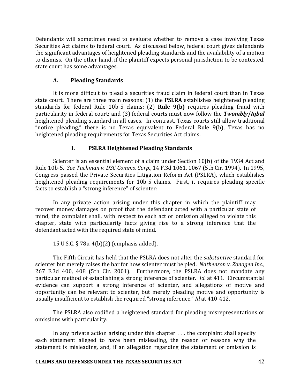Defendants will sometimes need to evaluate whether to remove a case involving Texas Securities Act claims to federal court. As discussed below, federal court gives defendants the significant advantages of heightened pleading standards and the availability of a motion to dismiss. On the other hand, if the plaintiff expects personal jurisdiction to be contested, state court has some advantages.

# **A. Pleading Standards**

It is more difficult to plead a securities fraud claim in federal court than in Texas state court. There are three main reasons: (1) the **PSLRA** establishes heightened pleading standards for federal Rule 10b-5 claims; (2) Rule 9(b) requires pleading fraud with particularity in federal court; and (3) federal courts must now follow the *Twombly/Iqbal* heightened pleading standard in all cases. In contrast, Texas courts still allow traditional "notice pleading," there is no Texas equivalent to Federal Rule 9(b), Texas has no heightened pleading requirements for Texas Securities Act claims.

# 1. **PSLRA Heightened Pleading Standards**

Scienter is an essential element of a claim under Section  $10(b)$  of the 1934 Act and Rule 10b-5. See Tuchman v. DSC Comms. Corp., 14 F.3d 1061, 1067 (5th Cir. 1994). In 1995, Congress passed the Private Securities Litigation Reform Act (PSLRA), which establishes heightened pleading requirements for 10b-5 claims. First, it requires pleading specific facts to establish a "strong inference" of scienter:

In any private action arising under this chapter in which the plaintiff may recover money damages on proof that the defendant acted with a particular state of mind, the complaint shall, with respect to each act or omission alleged to violate this chapter, state with particularity facts giving rise to a strong inference that the defendant acted with the required state of mind.

15 U.S.C.  $\S 78u-4(b)(2)$  (emphasis added).

The Fifth Circuit has held that the PSLRA does not alter the *substantive* standard for scienter but merely raises the bar for how scienter must be pled. Nathenson v. Zonagen Inc., 267 F.3d 400, 408 (5th Cir. 2001). Furthermore, the PSLRA does not mandate any particular method of establishing a strong inference of scienter. *Id.* at 411. Circumstantial evidence can support a strong inference of scienter, and allegations of motive and opportunity can be relevant to scienter, but merely pleading motive and opportunity is usually insufficient to establish the required "strong inference." *Id* at 410-412.

The PSLRA also codified a heightened standard for pleading misrepresentations or omissions with particularity:

In any private action arising under this chapter  $\dots$  the complaint shall specify each statement alleged to have been misleading, the reason or reasons why the statement is misleading, and, if an allegation regarding the statement or omission is

#### **CLAIMS AND DEFENSES UNDER THE TEXAS SECURITIES ACT** 42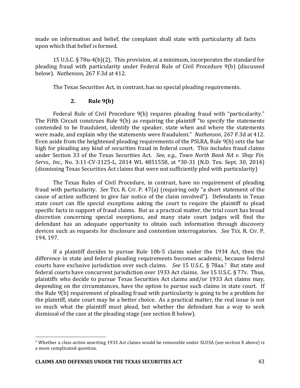made on information and belief, the complaint shall state with particularity all facts upon which that belief is formed.

15 U.S.C.  $\S$  78u-4(b)(2). This provision, at a minimum, incorporates the standard for pleading fraud with particularity under Federal Rule of Civil Procedure 9(b) (discussed below). *Nathenson*, 267 F.3d at 412.

The Texas Securities Act, in contrast, has no special pleading requirements.

# **2. Rule 9(b)**

Federal Rule of Civil Procedure 9(b) requires pleading fraud with "particularity." The Fifth Circuit construes Rule  $9(b)$  as requiring the plaintiff "to specify the statements contended to be fraudulent, identify the speaker, state when and where the statements were made, and explain why the statements were fraudulent." Nathenson, 267 F.3d at 412. Even aside from the heightened pleading requirements of the PSLRA, Rule 9(b) sets the bar high for pleading any kind of securities fraud in federal court. This includes fraud claims under Section 33 of the Texas Securities Act. See, e.g., Town North Bank NA v. Shay Fin. *Servs., Inc., No.* 3:11-CV-3125-L, 2014 WL 4851558, at \*30-31 (N.D. Tex. Sept. 30, 2014) (dismissing Texas Securities Act claims that were not sufficiently pled with particularity)

The Texas Rules of Civil Procedure, in contrast, have no requirement of pleading fraud with particularity. *See* TEX. R. CIV. P. 47(a) (requiring only "a short statement of the cause of action sufficient to give fair notice of the claim involved"). Defendants in Texas state court can file special exceptions asking the court to require the plaintiff to plead specific facts in support of fraud claims. But as a practical matter, the trial court has broad discretion concerning special exceptions, and many state court judges will find the defendant has an adequate opportunity to obtain such information through discovery devices such as requests for disclosure and contention interrogatories. See TEX. R. CIV. P. 194, 197.

If a plaintiff decides to pursue Rule  $10b-5$  claims under the 1934 Act, then the difference in state and federal pleading requirements becomes academic, because federal courts have exclusive jurisdiction over such claims. See 15 U.S.C. § 78aa.<sup>7</sup> But state and federal courts have concurrent jurisdiction over 1933 Act claims. See 15 U.S.C. § 77v. Thus, plaintiffs who decide to pursue Texas Securities Act claims and/or 1933 Act claims may, depending on the circumstances, have the option to pursue such claims in state court. If the Rule  $9(b)$  requirement of pleading fraud with particularity is going to be a problem for the plaintiff, state court may be a better choice. As a practical matter, the real issue is not so much what the plaintiff must plead, but whether the defendant has a way to seek dismissal of the case at the pleading stage (see section B below).

<sup>&</sup>lt;sup>7</sup> Whether a *class action* asserting 1933 Act claims would be removable under SLUSA (see section X above) is a more complicated question.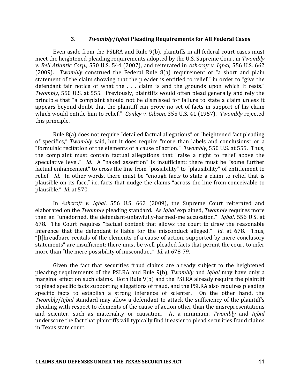#### **3.** *Twombly***/***Iqbal* **Pleading Requirements for All Federal Cases**

Even aside from the PSLRA and Rule 9(b), plaintiffs in all federal court cases must meet the heightened pleading requirements adopted by the U.S. Supreme Court in *Twombly v. Bell Atlantic Corp.*, 550 U.S. 544 (2007), and reiterated in *Ashcroft v. Iqbal*, 556 U.S. 662 (2009). *Twombly* construed the Federal Rule 8(a) requirement of "a short and plain statement of the claim showing that the pleader is entitled to relief," in order to "give the defendant fair notice of what the  $\ldots$  claim is and the grounds upon which it rests." *Twombly*, 550 U.S. at 555. Previously, plaintiffs would often plead generally and rely the principle that "a complaint should not be dismissed for failure to state a claim unless it appears beyond doubt that the plaintiff can prove no set of facts in support of his claim which would entitle him to relief." *Conley v. Gibson*, 355 U.S. 41 (1957). *Twombly* rejected this principle.

Rule  $8(a)$  does not require "detailed factual allegations" or "heightened fact pleading of specifics," *Twombly* said, but it does require "more than labels and conclusions" or a "formulaic recitation of the elements of a cause of action." *Twombly*, 550 U.S. at 555. Thus, the complaint must contain factual allegations that "raise a right to relief above the speculative level." *Id*. A "naked assertion" is insufficient; there must be "some further factual enhancement" to cross the line from "possibility" to "plausibility" of entitlement to relief. *Id*. In other words, there must be "enough facts to state a claim to relief that is plausible on its face," i.e. facts that nudge the claims "across the line from conceivable to plausible." *Id.* at 570.

In *Ashcroft v. Iqbal*, 556 U.S. 662 (2009), the Supreme Court reiterated and elaborated on the *Twombly* pleading standard. As *Iqbal* explained, *Twombly* requires more than an "unadorned, the defendant-unlawfully-harmed-me accusation." *Iqbal*, 556 U.S. at 678. The Court requires "factual content that allows the court to draw the reasonable inference that the defendant is liable for the misconduct alleged." *Id.* at 678. Thus, "[t]hreadbare recitals of the elements of a cause of action, supported by mere conclusory statements" are insufficient; there must be well-pleaded facts that permit the court to infer more than "the mere possibility of misconduct." *Id.* at 678-79.

Given the fact that securities fraud claims are already subject to the heightened pleading requirements of the PSLRA and Rule 9(b), *Twombly* and *Iqbal* may have only a marginal effect on such claims. Both Rule 9(b) and the PSLRA already require the plaintiff to plead specific facts supporting allegations of fraud, and the PSLRA also requires pleading specific facts to establish a strong inference of scienter. On the other hand, the *Twombly/Iqbal* standard may allow a defendant to attack the sufficiency of the plaintiff's pleading with respect to elements of the cause of action other than the misrepresentations and scienter, such as materiality or causation. At a minimum, *Twombly* and *Iqbal* underscore the fact that plaintiffs will typically find it easier to plead securities fraud claims in Texas state court.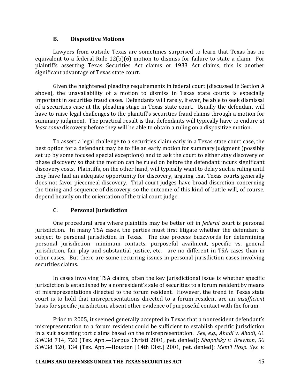#### **B. Dispositive Motions**

Lawyers from outside Texas are sometimes surprised to learn that Texas has no equivalent to a federal Rule  $12(b)(6)$  motion to dismiss for failure to state a claim. For plaintiffs asserting Texas Securities Act claims or 1933 Act claims, this is another significant advantage of Texas state court.

Given the heightened pleading requirements in federal court (discussed in Section A above), the unavailability of a motion to dismiss in Texas state courts is especially important in securities fraud cases. Defendants will rarely, if ever, be able to seek dismissal of a securities case at the pleading stage in Texas state court. Usually the defendant will have to raise legal challenges to the plaintiff's securities fraud claims through a motion for summary judgment. The practical result is that defendants will typically have to endure *at least some* discovery before they will be able to obtain a ruling on a dispositive motion.

To assert a legal challenge to a securities claim early in a Texas state court case, the best option for a defendant may be to file an early motion for summary judgment (possibly set up by some focused special exceptions) and to ask the court to either stay discovery or phase discovery so that the motion can be ruled on before the defendant incurs significant discovery costs. Plaintiffs, on the other hand, will typically want to delay such a ruling until they have had an adequate opportunity for discovery, arguing that Texas courts generally does not favor piecemeal discovery. Trial court judges have broad discretion concerning the timing and sequence of discovery, so the outcome of this kind of battle will, of course, depend heavily on the orientation of the trial court judge.

# **C. Personal Jurisdiction**

One procedural area where plaintiffs may be better off in *federal* court is personal jurisdiction. In many TSA cases, the parties must first litigate whether the defendant is subject to personal jurisdiction in Texas. The due process buzzwords for determining personal jurisdiction—minimum contacts, purposeful availment, specific vs. general jurisdiction, fair play and substantial justice, etc.—are no different in TSA cases than in other cases. But there are some recurring issues in personal jurisdiction cases involving securities claims.

In cases involving TSA claims, often the key jurisdictional issue is whether specific jurisdiction is established by a nonresident's sale of securities to a forum resident by means of misrepresentations directed to the forum resident. However, the trend in Texas state court is to hold that misrepresentations directed to a forum resident are an *insufficient* basis for specific jurisdiction, absent other evidence of purposeful contact with the forum.

Prior to 2005, it seemed generally accepted in Texas that a nonresident defendant's misrepresentation to a forum resident could be sufficient to establish specific jurisdiction in a suit asserting tort claims based on the misrepresentation. *See, e.g., Ahadi v. Ahadi*, 61 S.W.3d 714, 720 (Tex. App.—Corpus Christi 2001, pet. denied); *Shapolsky v. Brewton*, 56 S.W.3d 120, 134 (Tex. App.—Houston [14th Dist.] 2001, pet. denied); Mem'l Hosp. Sys. v.

#### **CLAIMS AND DEFENSES UNDER THE TEXAS SECURITIES ACT 45**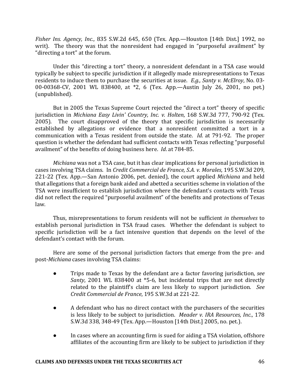*Fisher Ins. Agency, Inc.*, 835 S.W.2d 645, 650 (Tex. App.—Houston [14th Dist.] 1992, no writ). The theory was that the nonresident had engaged in "purposeful availment" by "directing a tort" at the forum.

Under this "directing a tort" theory, a nonresident defendant in a TSA case would typically be subject to specific jurisdiction if it allegedly made misrepresentations to Texas residents to induce them to purchase the securities at issue. *E.g., Santy v. McElroy*, No. 03-00-00368-CV, 2001 WL 838400, at \*2, 6 (Tex. App.—Austin July 26, 2001, no pet.) (unpublished).

But in 2005 the Texas Supreme Court rejected the "direct a tort" theory of specific jurisdiction in *Michiana Easy Livin' Country, Inc. v. Holten,* 168 S.W.3d 777, 790-92 (Tex. 2005). The court disapproved of the theory that specific jurisdiction is necessarily established by allegations or evidence that a nonresident committed a tort in a communication with a Texas resident from outside the state. *Id.* at 791-92. The proper question is whether the defendant had sufficient contacts with Texas reflecting "purposeful availment" of the benefits of doing business here. *Id.* at 784-85.

*Michiana* was not a TSA case, but it has clear implications for personal jurisdiction in cases involving TSA claims. In *Credit Commercial de France, S.A. v. Morales*, 195 S.W.3d 209, 221-22 (Tex. App.—San Antonio 2006, pet. denied), the court applied *Michiana* and held that allegations that a foreign bank aided and abetted a securities scheme in violation of the TSA were insufficient to establish jurisdiction where the defendant's contacts with Texas did not reflect the required "purposeful availment" of the benefits and protections of Texas law.

Thus, misrepresentations to forum residents will not be sufficient *in themselves* to establish personal jurisdiction in TSA fraud cases. Whether the defendant is subject to specific jurisdiction will be a fact intensive question that depends on the level of the defendant's contact with the forum.

Here are some of the personal jurisdiction factors that emerge from the pre- and post-*Michiana* cases involving TSA claims:

- Trips made to Texas by the defendant are a factor favoring jurisdiction, *see Santy*, 2001 WL 838400 at \*5-6, but incidental trips that are not directly related to the plaintiff's claim are less likely to support jurisdiction. See *Credit Commercial de France*, 195 S.W.3d at 221-22.
- A defendant who has no direct contact with the purchasers of the securities is less likely to be subject to jurisdiction. *Meader v. IRA Resources, Inc.*, 178 S.W.3d 338, 348-49 (Tex. App.—Houston [14th Dist.] 2005, no. pet.).
- In cases where an accounting firm is sued for aiding a TSA violation, offshore affiliates of the accounting firm are likely to be subject to jurisdiction if they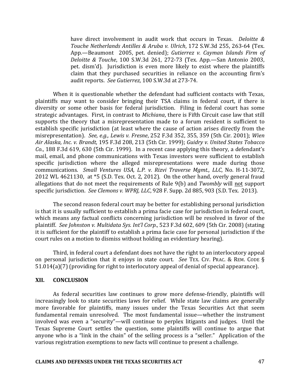have direct involvement in audit work that occurs in Texas. *Deloitte &* Touche Netherlands Antilles & Aruba v. Ulrich, 172 S.W.3d 255, 263-64 (Tex. App.—Beaumont 2005, pet. denied); *Gutierrez v. Cayman Islands Firm of Deloitte & Touche*, 100 S.W.3d 261, 272-73 (Tex. App.—San Antonio 2003, pet. dism'd). Jurisdiction is even more likely to exist where the plaintiffs claim that they purchased securities in reliance on the accounting firm's audit reports. See Gutierrez, 100 S.W.3d at 273-74.

When it is questionable whether the defendant had sufficient contacts with Texas, plaintiffs may want to consider bringing their TSA claims in federal court, if there is diversity or some other basis for federal jurisdiction. Filing in federal court has some strategic advantages. First, in contrast to *Michiana*, there is Fifth Circuit case law that still supports the theory that a misrepresentation made to a forum resident is sufficient to establish specific jurisdiction (at least where the cause of action arises directly from the misrepresentation). *See, e.g., Lewis v. Fresne*, 252 F.3d 352, 355, 359 (5th Cir. 2001); *Wien Air Alaska, Inc. v. Brandt*, 195 F.3d 208, 213 (5th Cir. 1999); *Guidry v. United States Tobacco Co.*, 188 F.3d 619, 630 (5th Cir. 1999). In a recent case applying this theory, a defendant's mail, email, and phone communications with Texas investors were sufficient to establish specific jurisdiction where the alleged misrepresentations were made during those communications. Small Ventures USA, L.P. v. Rizvi Traverse Mgmt., LLC, No. H-11-3072, 2012 WL 4621130, at  $*5$  (S.D. Tex. Oct. 2, 2012). On the other hand, overly general fraud allegations that do not meet the requirements of Rule 9(b) and *Twombly* will not support specific jurisdiction. See Clemons v. WPRJ, LLC, 928 F. Supp. 2d 885, 903 (S.D. Tex. 2013).

The second reason federal court may be better for establishing personal jurisdiction is that it is usually sufficient to establish a prima facie case for jurisdiction in federal court, which means any factual conflicts concerning jurisdiction will be resolved in favor of the plaintiff. See Johnston v. Multidata Sys. Int'l Corp., 523 F.3d 602, 609 (5th Cir. 2008) (stating it is sufficient for the plaintiff to establish a prima facie case for personal jurisdiction if the court rules on a motion to dismiss without holding an evidentiary hearing).

Third, in federal court a defendant does not have the right to an interlocutory appeal on personal jurisdiction that it enjoys in state court. See TEX. CIV. PRAC. & REM. CODE §  $51.014(a)(7)$  (providing for right to interlocutory appeal of denial of special appearance).

#### **XII. CONCLUSION**

As federal securities law continues to grow more defense-friendly, plaintiffs will increasingly look to state securities laws for relief. While state law claims are generally more favorable for plaintiffs, many issues under the Texas Securities Act that seem fundamental remain unresolved. The most fundamental issue—whether the instrument involved was even a "security"—will continue to perplex litigants and judges. Until the Texas Supreme Court settles the question, some plaintiffs will continue to argue that anyone who is a "link in the chain" of the selling process is a "seller." Application of the various registration exemptions to new facts will continue to present a challenge.

#### **CLAIMS AND DEFENSES UNDER THE TEXAS SECURITIES ACT 47**